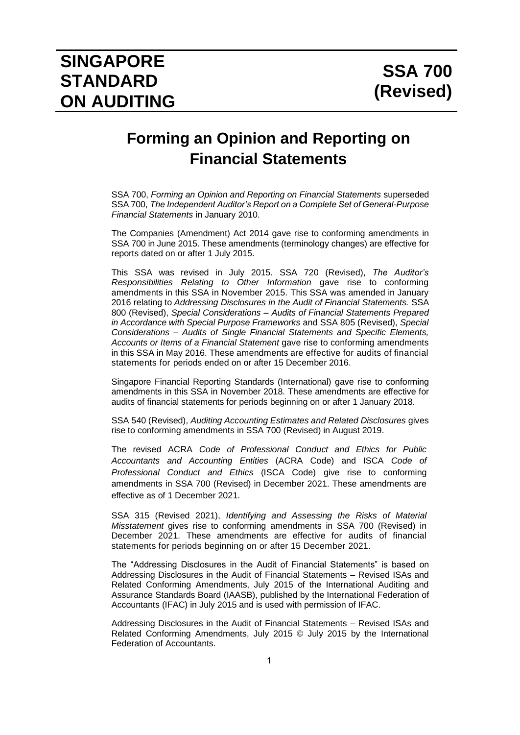# **Forming an Opinion and Reporting on Financial Statements**

SSA 700, *Forming an Opinion and Reporting on Financial Statements* superseded SSA 700, *The Independent Auditor's Report on a Complete Set of General-Purpose Financial Statements* in January 2010.

The Companies (Amendment) Act 2014 gave rise to conforming amendments in SSA 700 in June 2015. These amendments (terminology changes) are effective for reports dated on or after 1 July 2015.

This SSA was revised in July 2015. SSA 720 (Revised), *The Auditor's Responsibilities Relating to Other Information* gave rise to conforming amendments in this SSA in November 2015. This SSA was amended in January 2016 relating to *Addressing Disclosures in the Audit of Financial Statements.* SSA 800 (Revised), *Special Considerations – Audits of Financial Statements Prepared in Accordance with Special Purpose Frameworks* and SSA 805 (Revised), *Special Considerations – Audits of Single Financial Statements and Specific Elements, Accounts or Items of a Financial Statement* gave rise to conforming amendments in this SSA in May 2016. These amendments are effective for audits of financial statements for periods ended on or after 15 December 2016.

Singapore Financial Reporting Standards (International) gave rise to conforming amendments in this SSA in November 2018. These amendments are effective for audits of financial statements for periods beginning on or after 1 January 2018.

SSA 540 (Revised), *Auditing Accounting Estimates and Related Disclosures* gives rise to conforming amendments in SSA 700 (Revised) in August 2019.

The revised ACRA *Code of Professional Conduct and Ethics for Public Accountants and Accounting Entities* (ACRA Code) and ISCA *Code of Professional Conduct and Ethics* (ISCA Code) give rise to conforming amendments in SSA 700 (Revised) in December 2021. These amendments are effective as of 1 December 2021.

SSA 315 (Revised 2021), *Identifying and Assessing the Risks of Material Misstatement* gives rise to conforming amendments in SSA 700 (Revised) in December 2021. These amendments are effective for audits of financial statements for periods beginning on or after 15 December 2021.

The "Addressing Disclosures in the Audit of Financial Statements" is based on Addressing Disclosures in the Audit of Financial Statements – Revised ISAs and Related Conforming Amendments, July 2015 of the International Auditing and Assurance Standards Board (IAASB), published by the International Federation of Accountants (IFAC) in July 2015 and is used with permission of IFAC.

Addressing Disclosures in the Audit of Financial Statements – Revised ISAs and Related Conforming Amendments, July 2015 © July 2015 by the International Federation of Accountants.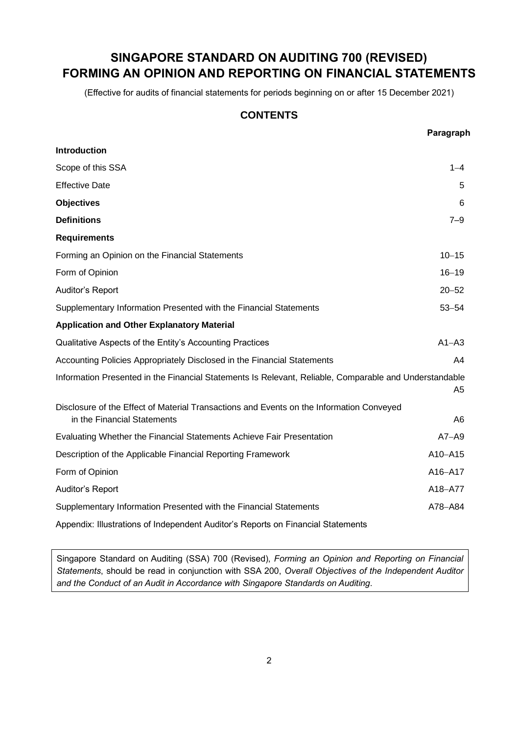## **SINGAPORE STANDARD ON AUDITING 700 (REVISED) FORMING AN OPINION AND REPORTING ON FINANCIAL STATEMENTS**

(Effective for audits of financial statements for periods beginning on or after 15 December 2021)

## **CONTENTS**

|                                                                                                                         | Paragraph      |
|-------------------------------------------------------------------------------------------------------------------------|----------------|
| Introduction                                                                                                            |                |
| Scope of this SSA                                                                                                       | $1 - 4$        |
| <b>Effective Date</b>                                                                                                   | 5              |
| <b>Objectives</b>                                                                                                       | 6              |
| <b>Definitions</b>                                                                                                      | $7 - 9$        |
| <b>Requirements</b>                                                                                                     |                |
| Forming an Opinion on the Financial Statements                                                                          | $10 - 15$      |
| Form of Opinion                                                                                                         | $16 - 19$      |
| Auditor's Report                                                                                                        | $20 - 52$      |
| Supplementary Information Presented with the Financial Statements                                                       | $53 - 54$      |
| <b>Application and Other Explanatory Material</b>                                                                       |                |
| Qualitative Aspects of the Entity's Accounting Practices                                                                | $A1 - A3$      |
| Accounting Policies Appropriately Disclosed in the Financial Statements                                                 | A4             |
| Information Presented in the Financial Statements Is Relevant, Reliable, Comparable and Understandable                  | A <sub>5</sub> |
| Disclosure of the Effect of Material Transactions and Events on the Information Conveyed<br>in the Financial Statements | A6             |
| Evaluating Whether the Financial Statements Achieve Fair Presentation                                                   | $A7 - A9$      |
| Description of the Applicable Financial Reporting Framework                                                             | A10-A15        |
| Form of Opinion                                                                                                         | A16-A17        |
| Auditor's Report                                                                                                        | A18-A77        |
| Supplementary Information Presented with the Financial Statements                                                       | A78-A84        |
| Appendix: Illustrations of Independent Auditor's Reports on Financial Statements                                        |                |

Singapore Standard on Auditing (SSA) 700 (Revised), *Forming an Opinion and Reporting on Financial Statements*, should be read in conjunction with SSA 200, *Overall Objectives of the Independent Auditor and the Conduct of an Audit in Accordance with Singapore Standards on Auditing*.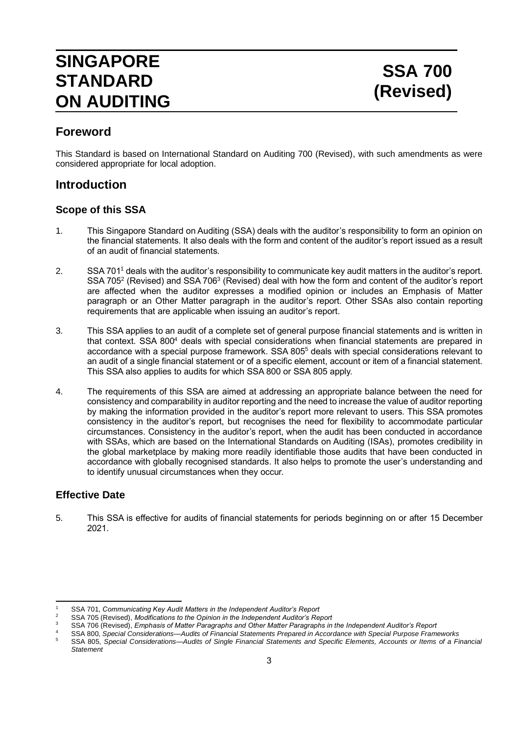# **SINGAPORE STANDARD ON AUDITING**

**SSA 700 (Revised)**

## **Foreword**

This Standard is based on International Standard on Auditing 700 (Revised), with such amendments as were considered appropriate for local adoption.

## **Introduction**

## **Scope of this SSA**

- 1. This Singapore Standard on Auditing (SSA) deals with the auditor's responsibility to form an opinion on the financial statements. It also deals with the form and content of the auditor's report issued as a result of an audit of financial statements.
- 2. SSA 701<sup>1</sup> deals with the auditor's responsibility to communicate key audit matters in the auditor's report. SSA 705<sup>2</sup> (Revised) and SSA 706<sup>3</sup> (Revised) deal with how the form and content of the auditor's report are affected when the auditor expresses a modified opinion or includes an Emphasis of Matter paragraph or an Other Matter paragraph in the auditor's report. Other SSAs also contain reporting requirements that are applicable when issuing an auditor's report.
- 3. This SSA applies to an audit of a complete set of general purpose financial statements and is written in that context. SSA 800<sup>4</sup> deals with special considerations when financial statements are prepared in accordance with a special purpose framework. SSA 805<sup>5</sup> deals with special considerations relevant to an audit of a single financial statement or of a specific element, account or item of a financial statement. This SSA also applies to audits for which SSA 800 or SSA 805 apply.
- 4. The requirements of this SSA are aimed at addressing an appropriate balance between the need for consistency and comparability in auditor reporting and the need to increase the value of auditor reporting by making the information provided in the auditor's report more relevant to users. This SSA promotes consistency in the auditor's report, but recognises the need for flexibility to accommodate particular circumstances. Consistency in the auditor's report, when the audit has been conducted in accordance with SSAs, which are based on the International Standards on Auditing (ISAs), promotes credibility in the global marketplace by making more readily identifiable those audits that have been conducted in accordance with globally recognised standards. It also helps to promote the user's understanding and to identify unusual circumstances when they occur.

## **Effective Date**

5. This SSA is effective for audits of financial statements for periods beginning on or after 15 December 2021.

<sup>1</sup> SSA 701, *Communicating Key Audit Matters in the Independent Auditor's Report*

<sup>&</sup>lt;sup>2</sup> SSA 705 (Revised), *Modifications to the Opinion in the Independent Auditor's Report*<br><sup>3</sup> SSA 706 (Davised), Emphasis of Mottor Reservants and Other Matter Perservants in

SSA 706 (Revised), *Emphasis of Matter Paragraphs and Other Matter Paragraphs in the Independent Auditor's Report* 

<sup>4</sup> SSA 800, *Special Considerations—Audits of Financial Statements Prepared in Accordance with Special Purpose Frameworks* <sup>5</sup> SSA 805, *Special Considerations—Audits of Single Financial Statements and Specific Elements, Accounts or Items of a Financial Statement*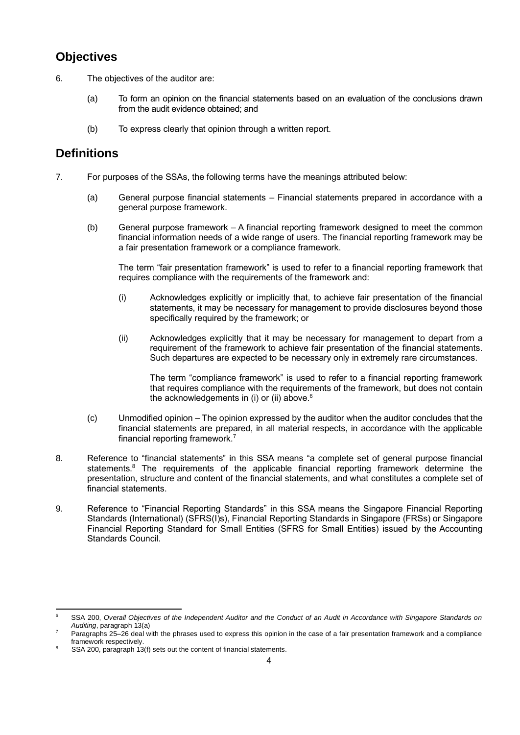## **Objectives**

- 6. The objectives of the auditor are:
	- (a) To form an opinion on the financial statements based on an evaluation of the conclusions drawn from the audit evidence obtained; and
	- (b) To express clearly that opinion through a written report.

## **Definitions**

- 7. For purposes of the SSAs, the following terms have the meanings attributed below:
	- (a) General purpose financial statements Financial statements prepared in accordance with a general purpose framework.
	- (b) General purpose framework A financial reporting framework designed to meet the common financial information needs of a wide range of users. The financial reporting framework may be a fair presentation framework or a compliance framework.

The term "fair presentation framework" is used to refer to a financial reporting framework that requires compliance with the requirements of the framework and:

- (i) Acknowledges explicitly or implicitly that, to achieve fair presentation of the financial statements, it may be necessary for management to provide disclosures beyond those specifically required by the framework; or
- (ii) Acknowledges explicitly that it may be necessary for management to depart from a requirement of the framework to achieve fair presentation of the financial statements. Such departures are expected to be necessary only in extremely rare circumstances.

The term "compliance framework" is used to refer to a financial reporting framework that requires compliance with the requirements of the framework, but does not contain the acknowledgements in (i) or (ii) above.<sup>6</sup>

- (c) Unmodified opinion The opinion expressed by the auditor when the auditor concludes that the financial statements are prepared, in all material respects, in accordance with the applicable financial reporting framework.<sup>7</sup>
- 8. Reference to "financial statements" in this SSA means "a complete set of general purpose financial statements.<sup>8</sup> The requirements of the applicable financial reporting framework determine the presentation, structure and content of the financial statements, and what constitutes a complete set of financial statements.
- 9. Reference to "Financial Reporting Standards" in this SSA means the Singapore Financial Reporting Standards (International) (SFRS(I)s), Financial Reporting Standards in Singapore (FRSs) or Singapore Financial Reporting Standard for Small Entities (SFRS for Small Entities) issued by the Accounting Standards Council.

<sup>&</sup>lt;sup>6</sup> SSA 200, Overall Objectives of the Independent Auditor and the Conduct of an Audit in Accordance with Singapore Standards on *Auditing*, paragraph 13(a)

Paragraphs 25–26 deal with the phrases used to express this opinion in the case of a fair presentation framework and a compliance framework respectively.

SSA 200, paragraph 13(f) sets out the content of financial statements.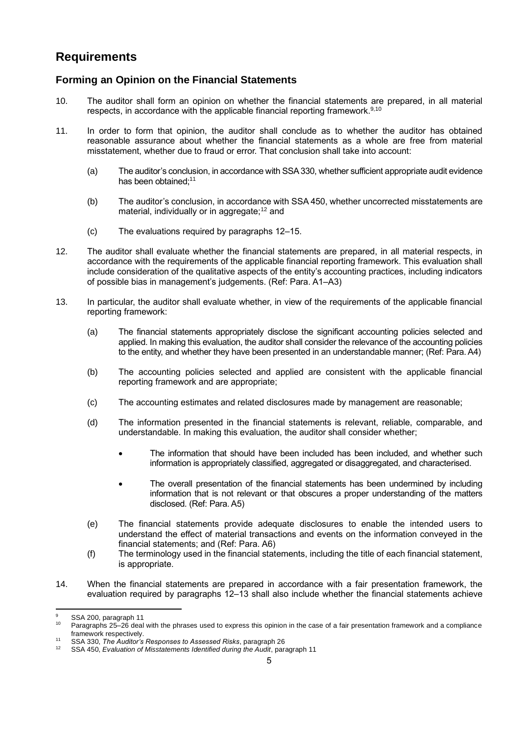## **Requirements**

## **Forming an Opinion on the Financial Statements**

- 10. The auditor shall form an opinion on whether the financial statements are prepared, in all material respects, in accordance with the applicable financial reporting framework.<sup>9,10</sup>
- 11. In order to form that opinion, the auditor shall conclude as to whether the auditor has obtained reasonable assurance about whether the financial statements as a whole are free from material misstatement, whether due to fraud or error. That conclusion shall take into account:
	- (a) The auditor's conclusion, in accordance with SSA330, whether sufficient appropriate audit evidence has been obtained:<sup>11</sup>
	- (b) The auditor's conclusion, in accordance with SSA 450, whether uncorrected misstatements are material, individually or in aggregate;<sup>12</sup> and
	- (c) The evaluations required by paragraphs 12–15.
- 12. The auditor shall evaluate whether the financial statements are prepared, in all material respects, in accordance with the requirements of the applicable financial reporting framework. This evaluation shall include consideration of the qualitative aspects of the entity's accounting practices, including indicators of possible bias in management's judgements. (Ref: Para. A1–A3)
- 13. In particular, the auditor shall evaluate whether, in view of the requirements of the applicable financial reporting framework:
	- (a) The financial statements appropriately disclose the significant accounting policies selected and applied. In making this evaluation, the auditor shall consider the relevance of the accounting policies to the entity, and whether they have been presented in an understandable manner; (Ref: Para. A4)
	- (b) The accounting policies selected and applied are consistent with the applicable financial reporting framework and are appropriate;
	- (c) The accounting estimates and related disclosures made by management are reasonable;
	- (d) The information presented in the financial statements is relevant, reliable, comparable, and understandable. In making this evaluation, the auditor shall consider whether;
		- The information that should have been included has been included, and whether such information is appropriately classified, aggregated or disaggregated, and characterised.
		- The overall presentation of the financial statements has been undermined by including information that is not relevant or that obscures a proper understanding of the matters disclosed. (Ref: Para. A5)
	- (e) The financial statements provide adequate disclosures to enable the intended users to understand the effect of material transactions and events on the information conveyed in the financial statements; and (Ref: Para. A6)
	- (f) The terminology used in the financial statements, including the title of each financial statement, is appropriate.
- 14. When the financial statements are prepared in accordance with a fair presentation framework, the evaluation required by paragraphs 12–13 shall also include whether the financial statements achieve

 $\frac{9}{10}$  SSA 200, paragraph 11

<sup>10</sup> Paragraphs 25–26 deal with the phrases used to express this opinion in the case of a fair presentation framework and a compliance framework respectively.

<sup>11</sup> SSA 330, *The Auditor's Responses to Assessed Risks*, paragraph 26

<sup>12</sup> SSA 450, *Evaluation of Misstatements Identified during the Audit*, paragraph 11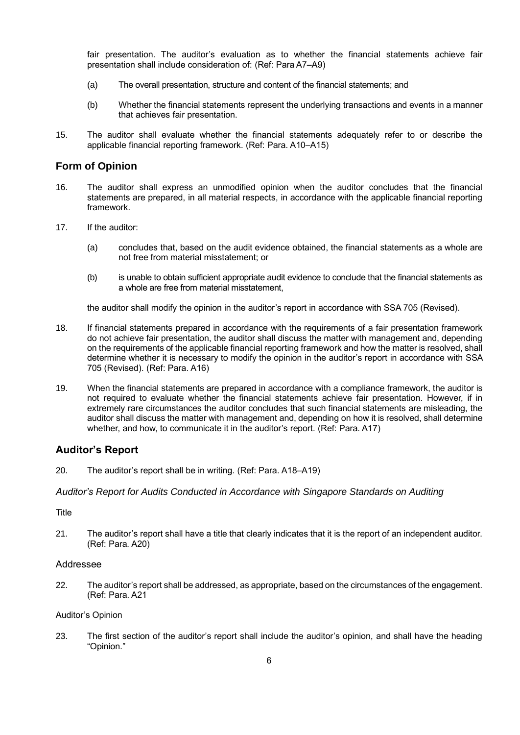fair presentation. The auditor's evaluation as to whether the financial statements achieve fair presentation shall include consideration of: (Ref: Para A7–A9)

- (a) The overall presentation, structure and content of the financial statements; and
- (b) Whether the financial statements represent the underlying transactions and events in a manner that achieves fair presentation.
- 15. The auditor shall evaluate whether the financial statements adequately refer to or describe the applicable financial reporting framework. (Ref: Para. A10–A15)

### **Form of Opinion**

- 16. The auditor shall express an unmodified opinion when the auditor concludes that the financial statements are prepared, in all material respects, in accordance with the applicable financial reporting framework.
- 17 If the auditor:
	- (a) concludes that, based on the audit evidence obtained, the financial statements as a whole are not free from material misstatement; or
	- (b) is unable to obtain sufficient appropriate audit evidence to conclude that the financial statements as a whole are free from material misstatement,

the auditor shall modify the opinion in the auditor's report in accordance with SSA 705 (Revised).

- 18. If financial statements prepared in accordance with the requirements of a fair presentation framework do not achieve fair presentation, the auditor shall discuss the matter with management and, depending on the requirements of the applicable financial reporting framework and how the matter is resolved, shall determine whether it is necessary to modify the opinion in the auditor's report in accordance with SSA 705 (Revised). (Ref: Para. A16)
- 19. When the financial statements are prepared in accordance with a compliance framework, the auditor is not required to evaluate whether the financial statements achieve fair presentation. However, if in extremely rare circumstances the auditor concludes that such financial statements are misleading, the auditor shall discuss the matter with management and, depending on how it is resolved, shall determine whether, and how, to communicate it in the auditor's report. (Ref: Para. A17)

## **Auditor's Report**

20. The auditor's report shall be in writing. (Ref: Para. A18–A19)

*Auditor's Report for Audits Conducted in Accordance with Singapore Standards on Auditing*

**Title** 

21. The auditor's report shall have a title that clearly indicates that it is the report of an independent auditor. (Ref: Para. A20)

#### Addressee

22. The auditor's report shall be addressed, as appropriate, based on the circumstances of the engagement. (Ref: Para. A21

#### Auditor's Opinion

23. The first section of the auditor's report shall include the auditor's opinion, and shall have the heading "Opinion."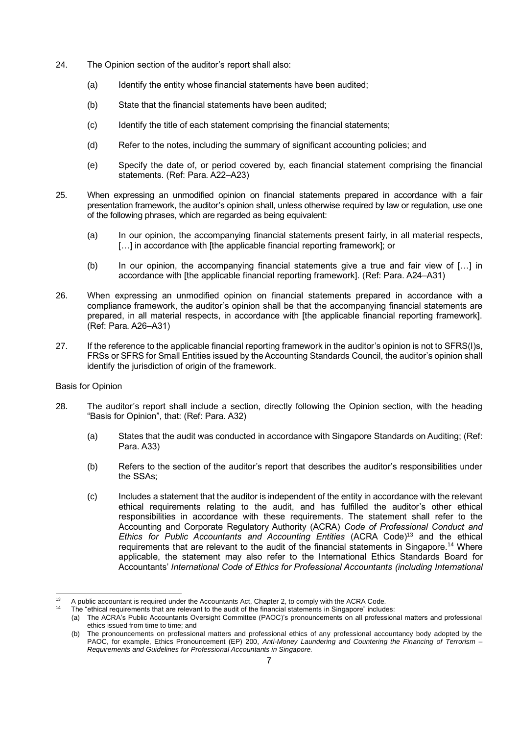- 24. The Opinion section of the auditor's report shall also:
	- (a) Identify the entity whose financial statements have been audited;
	- (b) State that the financial statements have been audited;
	- (c) Identify the title of each statement comprising the financial statements;
	- (d) Refer to the notes, including the summary of significant accounting policies; and
	- (e) Specify the date of, or period covered by, each financial statement comprising the financial statements. (Ref: Para. A22–A23)
- 25. When expressing an unmodified opinion on financial statements prepared in accordance with a fair presentation framework, the auditor's opinion shall, unless otherwise required by law or regulation, use one of the following phrases, which are regarded as being equivalent:
	- (a) In our opinion, the accompanying financial statements present fairly, in all material respects, [...] in accordance with [the applicable financial reporting framework]; or
	- (b) In our opinion, the accompanying financial statements give a true and fair view of […] in accordance with [the applicable financial reporting framework]. (Ref: Para. A24–A31)
- 26. When expressing an unmodified opinion on financial statements prepared in accordance with a compliance framework, the auditor's opinion shall be that the accompanying financial statements are prepared, in all material respects, in accordance with [the applicable financial reporting framework]. (Ref: Para. A26–A31)
- 27. If the reference to the applicable financial reporting framework in the auditor's opinion is not to SFRS(I)s, FRSs or SFRS for Small Entities issued by the Accounting Standards Council, the auditor's opinion shall identify the jurisdiction of origin of the framework.

#### Basis for Opinion

- 28. The auditor's report shall include a section, directly following the Opinion section, with the heading "Basis for Opinion", that: (Ref: Para. A32)
	- (a) States that the audit was conducted in accordance with Singapore Standards on Auditing; (Ref: Para. A33)
	- (b) Refers to the section of the auditor's report that describes the auditor's responsibilities under the SSAs;
	- (c) Includes a statement that the auditor is independent of the entity in accordance with the relevant ethical requirements relating to the audit, and has fulfilled the auditor's other ethical responsibilities in accordance with these requirements. The statement shall refer to the Accounting and Corporate Regulatory Authority (ACRA) *Code of Professional Conduct and Ethics for Public Accountants and Accounting Entities* (ACRA Code)<sup>13</sup> and the ethical requirements that are relevant to the audit of the financial statements in Singapore.<sup>14</sup> Where applicable, the statement may also refer to the International Ethics Standards Board for Accountants' *International Code of Ethics for Professional Accountants (including International*

<sup>&</sup>lt;sup>13</sup> A public accountant is required under the Accountants Act, Chapter 2, to comply with the ACRA Code.

The "ethical requirements that are relevant to the audit of the financial statements in Singapore" includes:

<sup>(</sup>a) The ACRA's Public Accountants Oversight Committee (PAOC)'s pronouncements on all professional matters and professional ethics issued from time to time; and

<sup>(</sup>b) The pronouncements on professional matters and professional ethics of any professional accountancy body adopted by the PAOC, for example, Ethics Pronouncement (EP) 200, *Anti-Money Laundering and Countering the Financing of Terrorism – Requirements and Guidelines for Professional Accountants in Singapore.*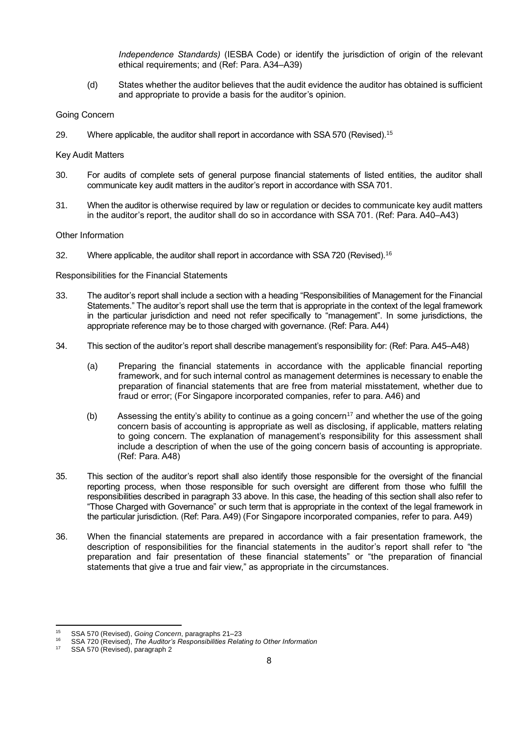*Independence Standards)* (IESBA Code) or identify the jurisdiction of origin of the relevant ethical requirements; and (Ref: Para. A34–A39)

(d) States whether the auditor believes that the audit evidence the auditor has obtained is sufficient and appropriate to provide a basis for the auditor's opinion.

#### Going Concern

29. Where applicable, the auditor shall report in accordance with SSA 570 (Revised).<sup>15</sup>

### Key Audit Matters

- 30. For audits of complete sets of general purpose financial statements of listed entities, the auditor shall communicate key audit matters in the auditor's report in accordance with SSA 701.
- 31. When the auditor is otherwise required by law or regulation or decides to communicate key audit matters in the auditor's report, the auditor shall do so in accordance with SSA 701. (Ref: Para. A40–A43)

### Other Information

32. Where applicable, the auditor shall report in accordance with SSA 720 (Revised).<sup>16</sup>

#### Responsibilities for the Financial Statements

- 33. The auditor's report shall include a section with a heading "Responsibilities of Management for the Financial Statements." The auditor's report shall use the term that is appropriate in the context of the legal framework in the particular jurisdiction and need not refer specifically to "management". In some jurisdictions, the appropriate reference may be to those charged with governance. (Ref: Para. A44)
- 34. This section of the auditor's report shall describe management's responsibility for: (Ref: Para. A45–A48)
	- (a) Preparing the financial statements in accordance with the applicable financial reporting framework, and for such internal control as management determines is necessary to enable the preparation of financial statements that are free from material misstatement, whether due to fraud or error; (For Singapore incorporated companies, refer to para. A46) and
	- (b) Assessing the entity's ability to continue as a going concern<sup>17</sup> and whether the use of the going concern basis of accounting is appropriate as well as disclosing, if applicable, matters relating to going concern. The explanation of management's responsibility for this assessment shall include a description of when the use of the going concern basis of accounting is appropriate. (Ref: Para. A48)
- 35. This section of the auditor's report shall also identify those responsible for the oversight of the financial reporting process, when those responsible for such oversight are different from those who fulfill the responsibilities described in paragraph 33 above. In this case, the heading of this section shall also refer to "Those Charged with Governance" or such term that is appropriate in the context of the legal framework in the particular jurisdiction. (Ref: Para. A49) (For Singapore incorporated companies, refer to para. A49)
- 36. When the financial statements are prepared in accordance with a fair presentation framework, the description of responsibilities for the financial statements in the auditor's report shall refer to "the preparation and fair presentation of these financial statements" or "the preparation of financial statements that give a true and fair view," as appropriate in the circumstances.

<sup>15</sup> SSA 570 (Revised), *Going Concern*, paragraphs 21–23

<sup>16</sup> SSA 720 (Revised), *The Auditor's Responsibilities Relating to Other Information*

SSA 570 (Revised), paragraph 2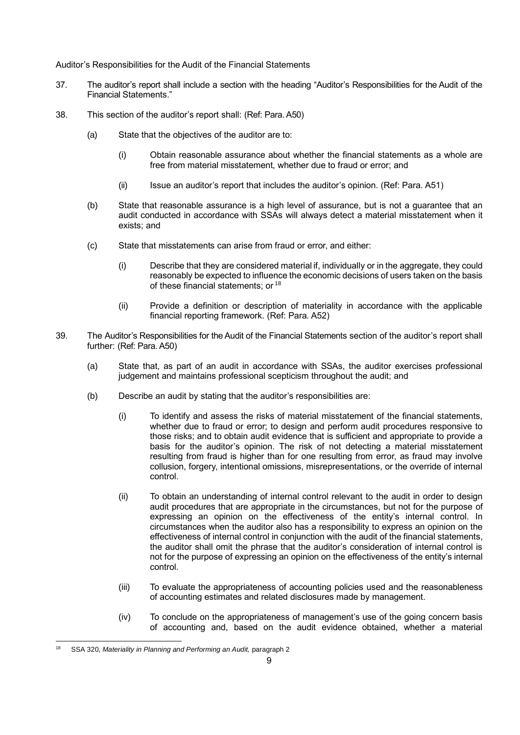Auditor's Responsibilities for the Audit of the Financial Statements

- 37. The auditor's report shall include a section with the heading "Auditor's Responsibilities for the Audit of the Financial Statements."
- 38. This section of the auditor's report shall: (Ref: Para. A50)
	- (a) State that the objectives of the auditor are to:
		- (i) Obtain reasonable assurance about whether the financial statements as a whole are free from material misstatement, whether due to fraud or error; and
		- (ii) Issue an auditor's report that includes the auditor's opinion. (Ref: Para. A51)
	- (b) State that reasonable assurance is a high level of assurance, but is not a guarantee that an audit conducted in accordance with SSAs will always detect a material misstatement when it exists; and
	- (c) State that misstatements can arise from fraud or error, and either:
		- (i) Describe that they are considered material if, individually or in the aggregate, they could reasonably be expected to influence the economic decisions of users taken on the basis of these financial statements; or <sup>18</sup>
		- (ii) Provide a definition or description of materiality in accordance with the applicable financial reporting framework. (Ref: Para. A52)
- 39. The Auditor's Responsibilities for the Audit of the Financial Statements section of the auditor's report shall further: (Ref: Para. A50)
	- (a) State that, as part of an audit in accordance with SSAs, the auditor exercises professional judgement and maintains professional scepticism throughout the audit; and
	- (b) Describe an audit by stating that the auditor's responsibilities are:
		- (i) To identify and assess the risks of material misstatement of the financial statements, whether due to fraud or error; to design and perform audit procedures responsive to those risks; and to obtain audit evidence that is sufficient and appropriate to provide a basis for the auditor's opinion. The risk of not detecting a material misstatement resulting from fraud is higher than for one resulting from error, as fraud may involve collusion, forgery, intentional omissions, misrepresentations, or the override of internal control.
		- (ii) To obtain an understanding of internal control relevant to the audit in order to design audit procedures that are appropriate in the circumstances, but not for the purpose of expressing an opinion on the effectiveness of the entity's internal control. In circumstances when the auditor also has a responsibility to express an opinion on the effectiveness of internal control in conjunction with the audit of the financial statements, the auditor shall omit the phrase that the auditor's consideration of internal control is not for the purpose of expressing an opinion on the effectiveness of the entity's internal control.
		- (iii) To evaluate the appropriateness of accounting policies used and the reasonableness of accounting estimates and related disclosures made by management.
		- (iv) To conclude on the appropriateness of management's use of the going concern basis of accounting and, based on the audit evidence obtained, whether a material

<sup>18</sup> SSA 320, *Materiality in Planning and Performing an Audit,* paragraph 2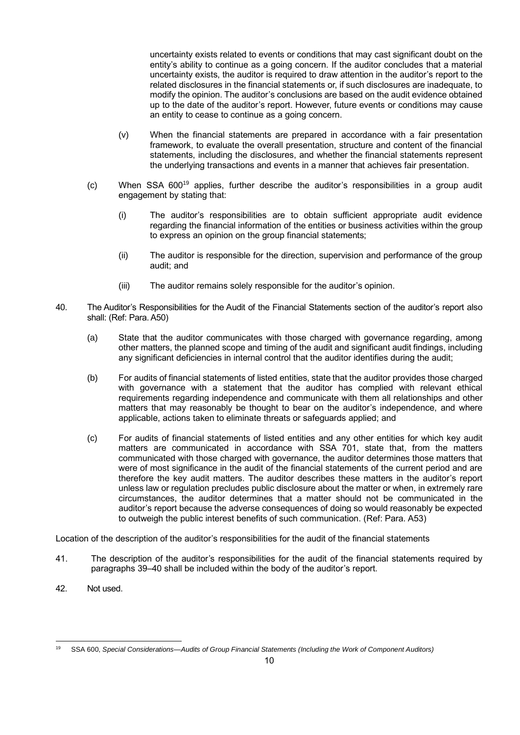uncertainty exists related to events or conditions that may cast significant doubt on the entity's ability to continue as a going concern. If the auditor concludes that a material uncertainty exists, the auditor is required to draw attention in the auditor's report to the related disclosures in the financial statements or, if such disclosures are inadequate, to modify the opinion. The auditor's conclusions are based on the audit evidence obtained up to the date of the auditor's report. However, future events or conditions may cause an entity to cease to continue as a going concern.

- (v) When the financial statements are prepared in accordance with a fair presentation framework, to evaluate the overall presentation, structure and content of the financial statements, including the disclosures, and whether the financial statements represent the underlying transactions and events in a manner that achieves fair presentation.
- (c) When SSA 600<sup>19</sup> applies, further describe the auditor's responsibilities in a group audit engagement by stating that:
	- (i) The auditor's responsibilities are to obtain sufficient appropriate audit evidence regarding the financial information of the entities or business activities within the group to express an opinion on the group financial statements;
	- (ii) The auditor is responsible for the direction, supervision and performance of the group audit; and
	- (iii) The auditor remains solely responsible for the auditor's opinion.
- 40. The Auditor's Responsibilities for the Audit of the Financial Statements section of the auditor's report also shall: (Ref: Para. A50)
	- (a) State that the auditor communicates with those charged with governance regarding, among other matters, the planned scope and timing of the audit and significant audit findings, including any significant deficiencies in internal control that the auditor identifies during the audit;
	- (b) For audits of financial statements of listed entities, state that the auditor provides those charged with governance with a statement that the auditor has complied with relevant ethical requirements regarding independence and communicate with them all relationships and other matters that may reasonably be thought to bear on the auditor's independence, and where applicable, actions taken to eliminate threats or safeguards applied; and
	- (c) For audits of financial statements of listed entities and any other entities for which key audit matters are communicated in accordance with SSA 701, state that, from the matters communicated with those charged with governance, the auditor determines those matters that were of most significance in the audit of the financial statements of the current period and are therefore the key audit matters. The auditor describes these matters in the auditor's report unless law or regulation precludes public disclosure about the matter or when, in extremely rare circumstances, the auditor determines that a matter should not be communicated in the auditor's report because the adverse consequences of doing so would reasonably be expected to outweigh the public interest benefits of such communication. (Ref: Para. A53)

Location of the description of the auditor's responsibilities for the audit of the financial statements

- 41. The description of the auditor's responsibilities for the audit of the financial statements required by paragraphs 39–40 shall be included within the body of the auditor's report.
- 42. Not used.

<sup>19</sup> SSA 600, *Special Considerations—Audits of Group Financial Statements (Including the Work of Component Auditors)*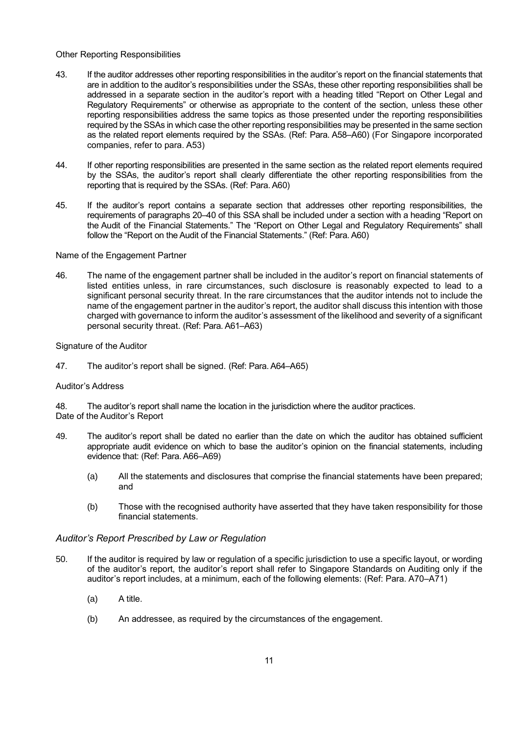#### Other Reporting Responsibilities

- 43. If the auditor addresses other reporting responsibilities in the auditor's report on the financial statements that are in addition to the auditor's responsibilities under the SSAs, these other reporting responsibilities shall be addressed in a separate section in the auditor's report with a heading titled "Report on Other Legal and Regulatory Requirements" or otherwise as appropriate to the content of the section, unless these other reporting responsibilities address the same topics as those presented under the reporting responsibilities required by the SSAs in which case the other reporting responsibilities may be presented in the same section as the related report elements required by the SSAs. (Ref: Para. A58–A60) (For Singapore incorporated companies, refer to para. A53)
- 44. If other reporting responsibilities are presented in the same section as the related report elements required by the SSAs, the auditor's report shall clearly differentiate the other reporting responsibilities from the reporting that is required by the SSAs. (Ref: Para. A60)
- 45. If the auditor's report contains a separate section that addresses other reporting responsibilities, the requirements of paragraphs 20–40 of this SSA shall be included under a section with a heading "Report on the Audit of the Financial Statements." The "Report on Other Legal and Regulatory Requirements" shall follow the "Report on the Audit of the Financial Statements." (Ref: Para. A60)

### Name of the Engagement Partner

46. The name of the engagement partner shall be included in the auditor's report on financial statements of listed entities unless, in rare circumstances, such disclosure is reasonably expected to lead to a significant personal security threat. In the rare circumstances that the auditor intends not to include the name of the engagement partner in the auditor's report, the auditor shall discuss this intention with those charged with governance to inform the auditor's assessment of the likelihood and severity of a significant personal security threat. (Ref: Para. A61–A63)

### Signature of the Auditor

47. The auditor's report shall be signed. (Ref: Para. A64–A65)

#### Auditor's Address

48. The auditor's report shall name the location in the jurisdiction where the auditor practices. Date of the Auditor's Report

- 49. The auditor's report shall be dated no earlier than the date on which the auditor has obtained sufficient appropriate audit evidence on which to base the auditor's opinion on the financial statements, including evidence that: (Ref: Para. A66–A69)
	- (a) All the statements and disclosures that comprise the financial statements have been prepared; and
	- (b) Those with the recognised authority have asserted that they have taken responsibility for those financial statements.

## *Auditor's Report Prescribed by Law or Regulation*

- 50. If the auditor is required by law or regulation of a specific jurisdiction to use a specific layout, or wording of the auditor's report, the auditor's report shall refer to Singapore Standards on Auditing only if the auditor's report includes, at a minimum, each of the following elements: (Ref: Para. A70–A71)
	- (a) A title.
	- (b) An addressee, as required by the circumstances of the engagement.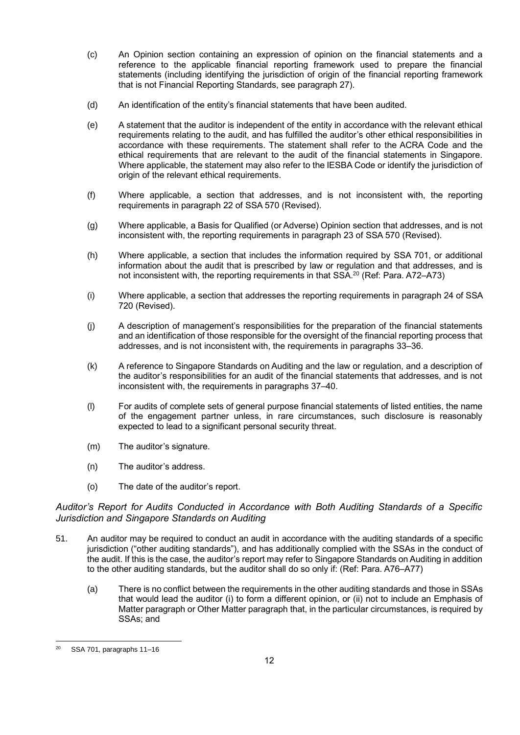- (c) An Opinion section containing an expression of opinion on the financial statements and a reference to the applicable financial reporting framework used to prepare the financial statements (including identifying the jurisdiction of origin of the financial reporting framework that is not Financial Reporting Standards, see paragraph 27).
- (d) An identification of the entity's financial statements that have been audited.
- (e) A statement that the auditor is independent of the entity in accordance with the relevant ethical requirements relating to the audit, and has fulfilled the auditor's other ethical responsibilities in accordance with these requirements. The statement shall refer to the ACRA Code and the ethical requirements that are relevant to the audit of the financial statements in Singapore. Where applicable, the statement may also refer to the IESBA Code or identify the jurisdiction of origin of the relevant ethical requirements.
- (f) Where applicable, a section that addresses, and is not inconsistent with, the reporting requirements in paragraph 22 of SSA 570 (Revised).
- (g) Where applicable, a Basis for Qualified (or Adverse) Opinion section that addresses, and is not inconsistent with, the reporting requirements in paragraph 23 of SSA 570 (Revised).
- (h) Where applicable, a section that includes the information required by SSA 701, or additional information about the audit that is prescribed by law or regulation and that addresses, and is not inconsistent with, the reporting requirements in that SSA. <sup>20</sup> (Ref: Para. A72–A73)
- (i) Where applicable, a section that addresses the reporting requirements in paragraph 24 of SSA 720 (Revised).
- (j) A description of management's responsibilities for the preparation of the financial statements and an identification of those responsible for the oversight of the financial reporting process that addresses, and is not inconsistent with, the requirements in paragraphs 33–36.
- (k) A reference to Singapore Standards on Auditing and the law or regulation, and a description of the auditor's responsibilities for an audit of the financial statements that addresses, and is not inconsistent with, the requirements in paragraphs 37–40.
- (l) For audits of complete sets of general purpose financial statements of listed entities, the name of the engagement partner unless, in rare circumstances, such disclosure is reasonably expected to lead to a significant personal security threat.
- (m) The auditor's signature.
- (n) The auditor's address.
- (o) The date of the auditor's report.

## *Auditor's Report for Audits Conducted in Accordance with Both Auditing Standards of a Specific Jurisdiction and Singapore Standards on Auditing*

- 51. An auditor may be required to conduct an audit in accordance with the auditing standards of a specific jurisdiction ("other auditing standards"), and has additionally complied with the SSAs in the conduct of the audit. If this is the case, the auditor's report may refer to Singapore Standards on Auditing in addition to the other auditing standards, but the auditor shall do so only if: (Ref: Para. A76–A77)
	- (a) There is no conflict between the requirements in the other auditing standards and those in SSAs that would lead the auditor (i) to form a different opinion, or (ii) not to include an Emphasis of Matter paragraph or Other Matter paragraph that, in the particular circumstances, is required by SSAs; and

 $20$  SSA 701, paragraphs 11-16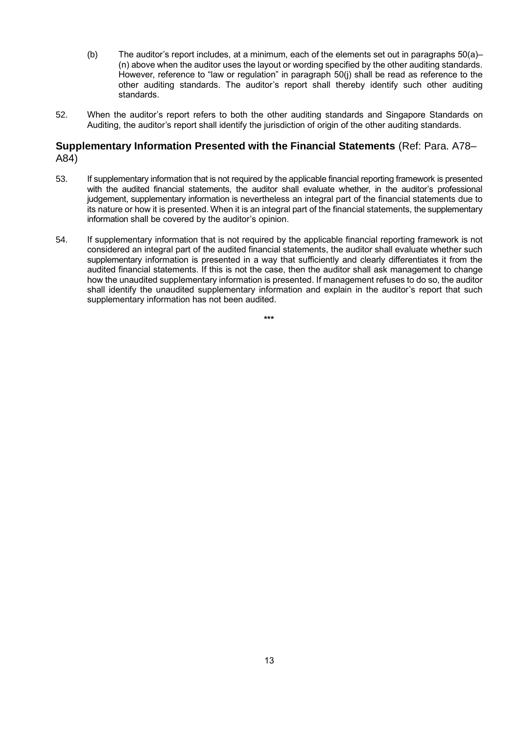- (b) The auditor's report includes, at a minimum, each of the elements set out in paragraphs  $50(a)$  (n) above when the auditor uses the layout or wording specified by the other auditing standards. However, reference to "law or regulation" in paragraph 50(j) shall be read as reference to the other auditing standards. The auditor's report shall thereby identify such other auditing standards.
- 52. When the auditor's report refers to both the other auditing standards and Singapore Standards on Auditing, the auditor's report shall identify the jurisdiction of origin of the other auditing standards.

## **Supplementary Information Presented with the Financial Statements** (Ref: Para. A78– A84)

- 53. If supplementary information that is not required by the applicable financial reporting framework is presented with the audited financial statements, the auditor shall evaluate whether, in the auditor's professional judgement, supplementary information is nevertheless an integral part of the financial statements due to its nature or how it is presented. When it is an integral part of the financial statements, the supplementary information shall be covered by the auditor's opinion.
- 54. If supplementary information that is not required by the applicable financial reporting framework is not considered an integral part of the audited financial statements, the auditor shall evaluate whether such supplementary information is presented in a way that sufficiently and clearly differentiates it from the audited financial statements. If this is not the case, then the auditor shall ask management to change how the unaudited supplementary information is presented. If management refuses to do so, the auditor shall identify the unaudited supplementary information and explain in the auditor's report that such supplementary information has not been audited.

**\*\*\***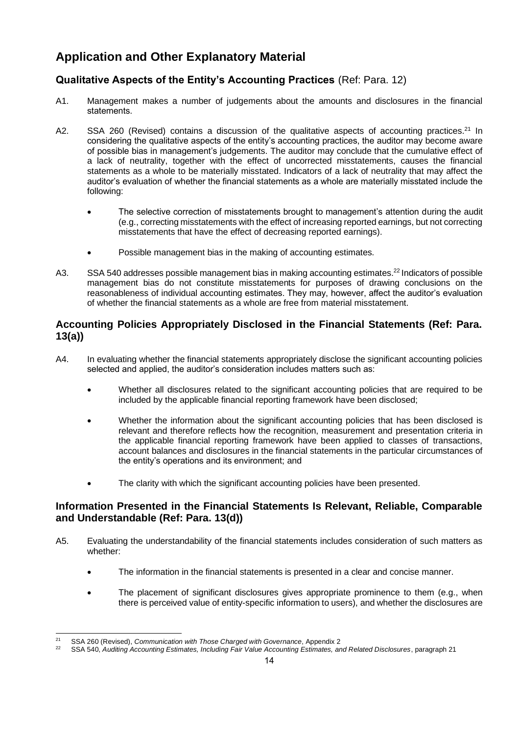## **Application and Other Explanatory Material**

## **Qualitative Aspects of the Entity's Accounting Practices** (Ref: Para. 12)

- A1. Management makes a number of judgements about the amounts and disclosures in the financial statements.
- A2. SSA 260 (Revised) contains a discussion of the qualitative aspects of accounting practices.<sup>21</sup> In considering the qualitative aspects of the entity's accounting practices, the auditor may become aware of possible bias in management's judgements. The auditor may conclude that the cumulative effect of a lack of neutrality, together with the effect of uncorrected misstatements, causes the financial statements as a whole to be materially misstated. Indicators of a lack of neutrality that may affect the auditor's evaluation of whether the financial statements as a whole are materially misstated include the following:
	- The selective correction of misstatements brought to management's attention during the audit (e.g., correcting misstatements with the effect of increasing reported earnings, but not correcting misstatements that have the effect of decreasing reported earnings).
	- Possible management bias in the making of accounting estimates.
- A3. SSA 540 addresses possible management bias in making accounting estimates.<sup>22</sup> Indicators of possible management bias do not constitute misstatements for purposes of drawing conclusions on the reasonableness of individual accounting estimates. They may, however, affect the auditor's evaluation of whether the financial statements as a whole are free from material misstatement.

## **Accounting Policies Appropriately Disclosed in the Financial Statements (Ref: Para. 13(a))**

- A4. In evaluating whether the financial statements appropriately disclose the significant accounting policies selected and applied, the auditor's consideration includes matters such as:
	- Whether all disclosures related to the significant accounting policies that are required to be included by the applicable financial reporting framework have been disclosed;
	- Whether the information about the significant accounting policies that has been disclosed is relevant and therefore reflects how the recognition, measurement and presentation criteria in the applicable financial reporting framework have been applied to classes of transactions, account balances and disclosures in the financial statements in the particular circumstances of the entity's operations and its environment; and
	- The clarity with which the significant accounting policies have been presented.

## **Information Presented in the Financial Statements Is Relevant, Reliable, Comparable and Understandable (Ref: Para. 13(d))**

- A5. Evaluating the understandability of the financial statements includes consideration of such matters as whether:
	- The information in the financial statements is presented in a clear and concise manner.
	- The placement of significant disclosures gives appropriate prominence to them (e.g., when there is perceived value of entity-specific information to users), and whether the disclosures are

<sup>&</sup>lt;sup>21</sup> SSA 260 (Revised), *Communication with Those Charged with Governance*, Appendix 2<br>22 SSA 540 Audition Accounting Estimates Installed Fair Value Accounting Estimates and

<sup>22</sup> SSA 540, *Auditing Accounting Estimates, Including Fair Value Accounting Estimates, and Related Disclosures*, paragraph 21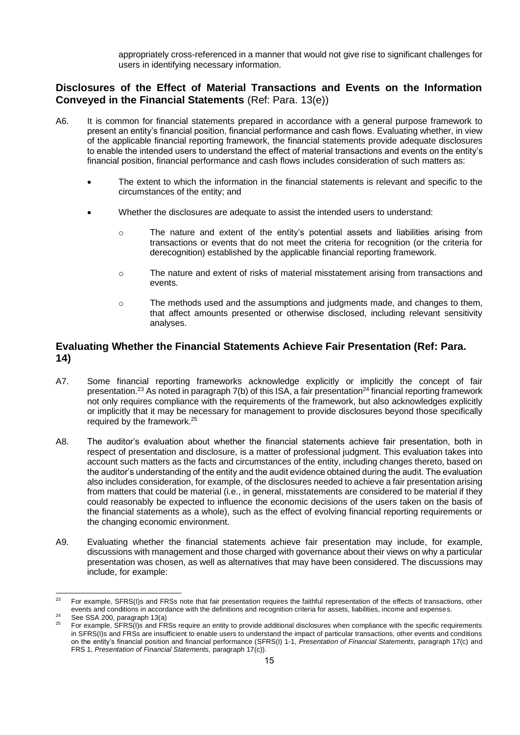appropriately cross-referenced in a manner that would not give rise to significant challenges for users in identifying necessary information.

## **Disclosures of the Effect of Material Transactions and Events on the Information Conveyed in the Financial Statements** (Ref: Para. 13(e))

- A6. It is common for financial statements prepared in accordance with a general purpose framework to present an entity's financial position, financial performance and cash flows. Evaluating whether, in view of the applicable financial reporting framework, the financial statements provide adequate disclosures to enable the intended users to understand the effect of material transactions and events on the entity's financial position, financial performance and cash flows includes consideration of such matters as:
	- The extent to which the information in the financial statements is relevant and specific to the circumstances of the entity; and
	- Whether the disclosures are adequate to assist the intended users to understand:
		- o The nature and extent of the entity's potential assets and liabilities arising from transactions or events that do not meet the criteria for recognition (or the criteria for derecognition) established by the applicable financial reporting framework.
		- o The nature and extent of risks of material misstatement arising from transactions and events.
		- o The methods used and the assumptions and judgments made, and changes to them, that affect amounts presented or otherwise disclosed, including relevant sensitivity analyses.

## **Evaluating Whether the Financial Statements Achieve Fair Presentation (Ref: Para. 14)**

- A7. Some financial reporting frameworks acknowledge explicitly or implicitly the concept of fair presentation.<sup>23</sup> As noted in paragraph 7(b) of this ISA, a fair presentation<sup>24</sup> financial reporting framework not only requires compliance with the requirements of the framework, but also acknowledges explicitly or implicitly that it may be necessary for management to provide disclosures beyond those specifically required by the framework.<sup>25</sup>
- A8. The auditor's evaluation about whether the financial statements achieve fair presentation, both in respect of presentation and disclosure, is a matter of professional judgment. This evaluation takes into account such matters as the facts and circumstances of the entity, including changes thereto, based on the auditor's understanding of the entity and the audit evidence obtained during the audit. The evaluation also includes consideration, for example, of the disclosures needed to achieve a fair presentation arising from matters that could be material (i.e., in general, misstatements are considered to be material if they could reasonably be expected to influence the economic decisions of the users taken on the basis of the financial statements as a whole), such as the effect of evolving financial reporting requirements or the changing economic environment.
- A9. Evaluating whether the financial statements achieve fair presentation may include, for example, discussions with management and those charged with governance about their views on why a particular presentation was chosen, as well as alternatives that may have been considered. The discussions may include, for example:

<sup>&</sup>lt;sup>23</sup> For example, SFRS(I)s and FRSs note that fair presentation requires the faithful representation of the effects of transactions, other events and conditions in accordance with the definitions and recognition criteria for assets, liabilities, income and expenses.

 $24$  See SSA 200, paragraph 13(a)

<sup>25</sup> For example, SFRS(I)s and FRSs require an entity to provide additional disclosures when compliance with the specific requirements in SFRS(I)s and FRSs are insufficient to enable users to understand the impact of particular transactions, other events and conditions on the entity's financial position and financial performance (SFRS(I) 1-1, *Presentation of Financial Statements,* paragraph 17(c) and FRS 1, *Presentation of Financial Statements,* paragraph 17(c)).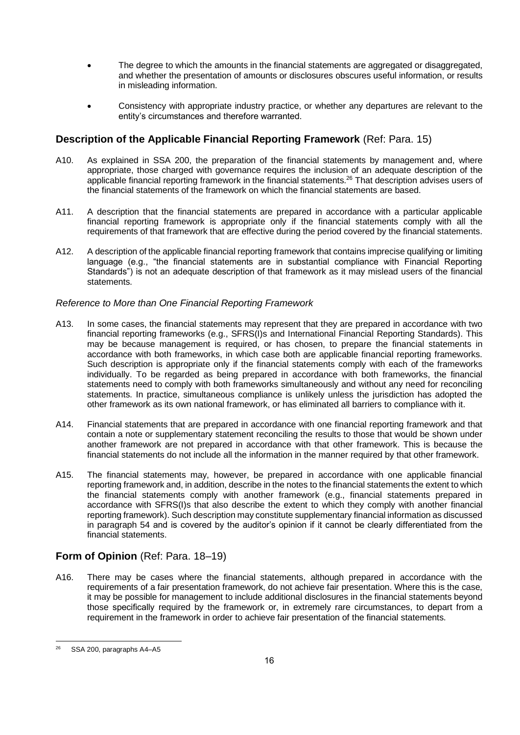- The degree to which the amounts in the financial statements are aggregated or disaggregated. and whether the presentation of amounts or disclosures obscures useful information, or results in misleading information.
- Consistency with appropriate industry practice, or whether any departures are relevant to the entity's circumstances and therefore warranted.

## **Description of the Applicable Financial Reporting Framework** (Ref: Para. 15)

- A10. As explained in SSA 200, the preparation of the financial statements by management and, where appropriate, those charged with governance requires the inclusion of an adequate description of the applicable financial reporting framework in the financial statements.<sup>26</sup> That description advises users of the financial statements of the framework on which the financial statements are based.
- A11. A description that the financial statements are prepared in accordance with a particular applicable financial reporting framework is appropriate only if the financial statements comply with all the requirements of that framework that are effective during the period covered by the financial statements.
- A12. A description of the applicable financial reporting framework that contains imprecise qualifying or limiting language (e.g., "the financial statements are in substantial compliance with Financial Reporting Standards") is not an adequate description of that framework as it may mislead users of the financial statements.

## *Reference to More than One Financial Reporting Framework*

- A13. In some cases, the financial statements may represent that they are prepared in accordance with two financial reporting frameworks (e.g., SFRS(I)s and International Financial Reporting Standards). This may be because management is required, or has chosen, to prepare the financial statements in accordance with both frameworks, in which case both are applicable financial reporting frameworks. Such description is appropriate only if the financial statements comply with each of the frameworks individually. To be regarded as being prepared in accordance with both frameworks, the financial statements need to comply with both frameworks simultaneously and without any need for reconciling statements. In practice, simultaneous compliance is unlikely unless the jurisdiction has adopted the other framework as its own national framework, or has eliminated all barriers to compliance with it.
- A14. Financial statements that are prepared in accordance with one financial reporting framework and that contain a note or supplementary statement reconciling the results to those that would be shown under another framework are not prepared in accordance with that other framework. This is because the financial statements do not include all the information in the manner required by that other framework.
- A15. The financial statements may, however, be prepared in accordance with one applicable financial reporting framework and, in addition, describe in the notes to the financial statements the extent to which the financial statements comply with another framework (e.g., financial statements prepared in accordance with SFRS(I)s that also describe the extent to which they comply with another financial reporting framework). Such description may constitute supplementary financial information as discussed in paragraph 54 and is covered by the auditor's opinion if it cannot be clearly differentiated from the financial statements.

## **Form of Opinion** (Ref: Para. 18–19)

A16. There may be cases where the financial statements, although prepared in accordance with the requirements of a fair presentation framework, do not achieve fair presentation. Where this is the case, it may be possible for management to include additional disclosures in the financial statements beyond those specifically required by the framework or, in extremely rare circumstances, to depart from a requirement in the framework in order to achieve fair presentation of the financial statements.

<sup>26</sup> SSA 200, paragraphs A4–A5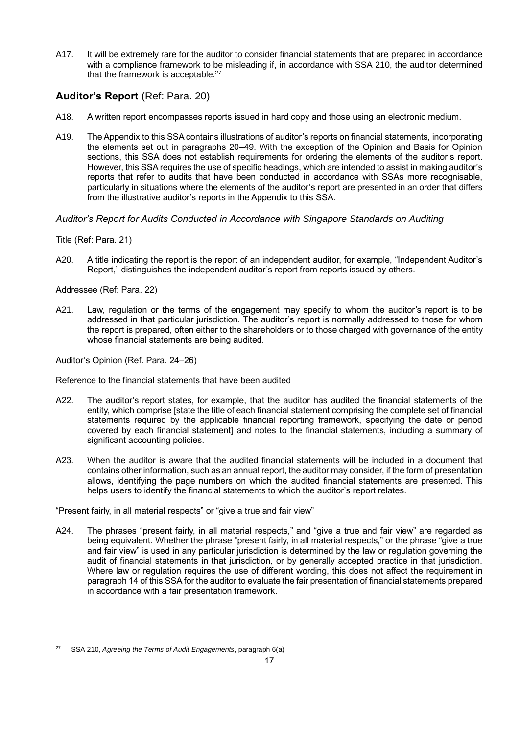A17. It will be extremely rare for the auditor to consider financial statements that are prepared in accordance with a compliance framework to be misleading if, in accordance with SSA 210, the auditor determined that the framework is acceptable. $27$ 

## **Auditor's Report** (Ref: Para. 20)

- A18. A written report encompasses reports issued in hard copy and those using an electronic medium.
- A19. The Appendix to this SSAcontains illustrations of auditor's reports on financial statements, incorporating the elements set out in paragraphs 20–49. With the exception of the Opinion and Basis for Opinion sections, this SSA does not establish requirements for ordering the elements of the auditor's report. However, this SSArequires the use of specific headings, which are intended to assist in making auditor's reports that refer to audits that have been conducted in accordance with SSAs more recognisable, particularly in situations where the elements of the auditor's report are presented in an order that differs from the illustrative auditor's reports in the Appendix to this SSA.

## *Auditor's Report for Audits Conducted in Accordance with Singapore Standards on Auditing*

Title (Ref: Para. 21)

A20. A title indicating the report is the report of an independent auditor, for example, "Independent Auditor's Report," distinguishes the independent auditor's report from reports issued by others.

## Addressee (Ref: Para. 22)

A21. Law, regulation or the terms of the engagement may specify to whom the auditor's report is to be addressed in that particular jurisdiction. The auditor's report is normally addressed to those for whom the report is prepared, often either to the shareholders or to those charged with governance of the entity whose financial statements are being audited.

Auditor's Opinion (Ref. Para. 24–26)

Reference to the financial statements that have been audited

- A22. The auditor's report states, for example, that the auditor has audited the financial statements of the entity, which comprise [state the title of each financial statement comprising the complete set of financial statements required by the applicable financial reporting framework, specifying the date or period covered by each financial statement] and notes to the financial statements, including a summary of significant accounting policies.
- A23. When the auditor is aware that the audited financial statements will be included in a document that contains other information, such as an annual report, the auditor may consider, if the form of presentation allows, identifying the page numbers on which the audited financial statements are presented. This helps users to identify the financial statements to which the auditor's report relates.

"Present fairly, in all material respects" or "give a true and fair view"

A24. The phrases "present fairly, in all material respects," and "give a true and fair view" are regarded as being equivalent. Whether the phrase "present fairly, in all material respects," or the phrase "give a true and fair view" is used in any particular jurisdiction is determined by the law or regulation governing the audit of financial statements in that jurisdiction, or by generally accepted practice in that jurisdiction. Where law or regulation requires the use of different wording, this does not affect the requirement in paragraph 14 of this SSAfor the auditor to evaluate the fair presentation of financial statements prepared in accordance with a fair presentation framework.

<sup>27</sup> SSA 210, *Agreeing the Terms of Audit Engagements*, paragraph 6(a)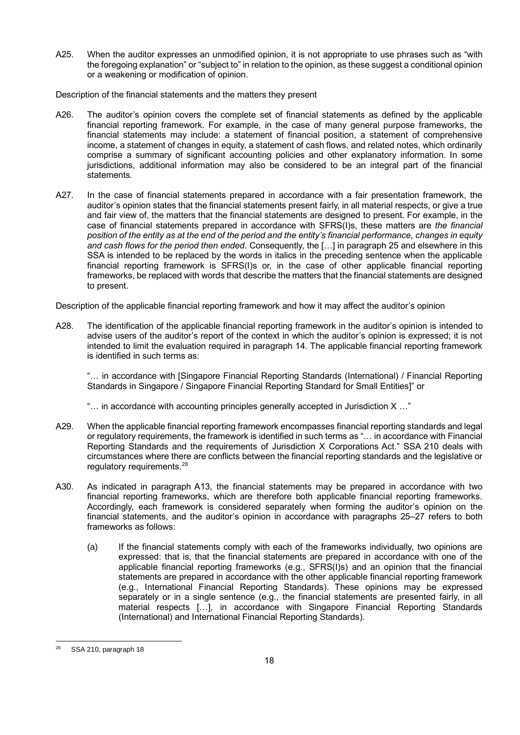A25. When the auditor expresses an unmodified opinion, it is not appropriate to use phrases such as "with the foregoing explanation" or "subject to" in relation to the opinion, as these suggest a conditional opinion or a weakening or modification of opinion.

Description of the financial statements and the matters they present

- A26. The auditor's opinion covers the complete set of financial statements as defined by the applicable financial reporting framework. For example, in the case of many general purpose frameworks, the financial statements may include: a statement of financial position, a statement of comprehensive income, a statement of changes in equity, a statement of cash flows, and related notes, which ordinarily comprise a summary of significant accounting policies and other explanatory information. In some jurisdictions, additional information may also be considered to be an integral part of the financial statements.
- A27. In the case of financial statements prepared in accordance with a fair presentation framework, the auditor's opinion states that the financial statements present fairly, in all material respects, or give a true and fair view of, the matters that the financial statements are designed to present. For example, in the case of financial statements prepared in accordance with SFRS(I)s, these matters are *the financial position of the entity as at the end of the period and the entity's financial performance, changes in equity and cash flows for the period then ended*. Consequently, the […] in paragraph 25 and elsewhere in this SSA is intended to be replaced by the words in italics in the preceding sentence when the applicable financial reporting framework is SFRS(I)s or, in the case of other applicable financial reporting frameworks, be replaced with words that describe the matters that the financial statements are designed to present.

Description of the applicable financial reporting framework and how it may affect the auditor's opinion

A28. The identification of the applicable financial reporting framework in the auditor's opinion is intended to advise users of the auditor's report of the context in which the auditor's opinion is expressed; it is not intended to limit the evaluation required in paragraph 14. The applicable financial reporting framework is identified in such terms as:

"… in accordance with [Singapore Financial Reporting Standards (International) / Financial Reporting Standards in Singapore / Singapore Financial Reporting Standard for Small Entities]" or

"… in accordance with accounting principles generally accepted in Jurisdiction X …"

- A29. When the applicable financial reporting framework encompasses financial reporting standards and legal or regulatory requirements, the framework is identified in such terms as "… in accordance with Financial Reporting Standards and the requirements of Jurisdiction X Corporations Act." SSA 210 deals with circumstances where there are conflicts between the financial reporting standards and the legislative or regulatory requirements.<sup>28</sup>
- A30. As indicated in paragraph A13, the financial statements may be prepared in accordance with two financial reporting frameworks, which are therefore both applicable financial reporting frameworks. Accordingly, each framework is considered separately when forming the auditor's opinion on the financial statements, and the auditor's opinion in accordance with paragraphs 25–27 refers to both frameworks as follows:
	- (a) If the financial statements comply with each of the frameworks individually, two opinions are expressed: that is, that the financial statements are prepared in accordance with one of the applicable financial reporting frameworks (e.g., SFRS(I)s) and an opinion that the financial statements are prepared in accordance with the other applicable financial reporting framework (e.g., International Financial Reporting Standards). These opinions may be expressed separately or in a single sentence (e.g., the financial statements are presented fairly, in all material respects […], in accordance with Singapore Financial Reporting Standards (International) and International Financial Reporting Standards).

<sup>28</sup> SSA 210, paragraph 18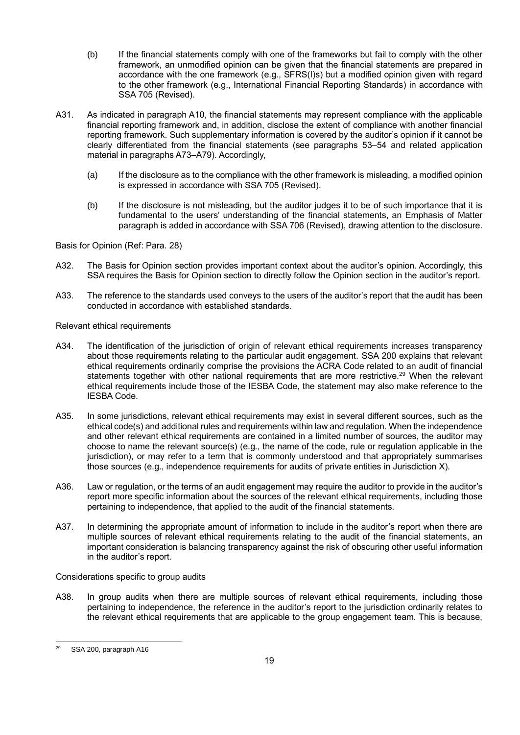- (b) If the financial statements comply with one of the frameworks but fail to comply with the other framework, an unmodified opinion can be given that the financial statements are prepared in accordance with the one framework (e.g., SFRS(I)s) but a modified opinion given with regard to the other framework (e.g., International Financial Reporting Standards) in accordance with SSA 705 (Revised).
- A31. As indicated in paragraph A10, the financial statements may represent compliance with the applicable financial reporting framework and, in addition, disclose the extent of compliance with another financial reporting framework. Such supplementary information is covered by the auditor's opinion if it cannot be clearly differentiated from the financial statements (see paragraphs 53–54 and related application material in paragraphs A73–A79). Accordingly,
	- (a) If the disclosure as to the compliance with the other framework is misleading, a modified opinion is expressed in accordance with SSA 705 (Revised).
	- (b) If the disclosure is not misleading, but the auditor judges it to be of such importance that it is fundamental to the users' understanding of the financial statements, an Emphasis of Matter paragraph is added in accordance with SSA 706 (Revised), drawing attention to the disclosure.

Basis for Opinion (Ref: Para. 28)

- A32. The Basis for Opinion section provides important context about the auditor's opinion. Accordingly, this SSA requires the Basis for Opinion section to directly follow the Opinion section in the auditor's report.
- A33. The reference to the standards used conveys to the users of the auditor's report that the audit has been conducted in accordance with established standards.

Relevant ethical requirements

- A34. The identification of the jurisdiction of origin of relevant ethical requirements increases transparency about those requirements relating to the particular audit engagement. SSA 200 explains that relevant ethical requirements ordinarily comprise the provisions the ACRA Code related to an audit of financial statements together with other national requirements that are more restrictive.<sup>29</sup> When the relevant ethical requirements include those of the IESBA Code, the statement may also make reference to the IESBA Code.
- A35. In some jurisdictions, relevant ethical requirements may exist in several different sources, such as the ethical code(s) and additional rules and requirements within law and regulation. When the independence and other relevant ethical requirements are contained in a limited number of sources, the auditor may choose to name the relevant source(s) (e.g., the name of the code, rule or regulation applicable in the jurisdiction), or may refer to a term that is commonly understood and that appropriately summarises those sources (e.g., independence requirements for audits of private entities in Jurisdiction X).
- A36. Law or regulation, or the terms of an audit engagement may require the auditor to provide in the auditor's report more specific information about the sources of the relevant ethical requirements, including those pertaining to independence, that applied to the audit of the financial statements.
- A37. In determining the appropriate amount of information to include in the auditor's report when there are multiple sources of relevant ethical requirements relating to the audit of the financial statements, an important consideration is balancing transparency against the risk of obscuring other useful information in the auditor's report.

## Considerations specific to group audits

A38. In group audits when there are multiple sources of relevant ethical requirements, including those pertaining to independence, the reference in the auditor's report to the jurisdiction ordinarily relates to the relevant ethical requirements that are applicable to the group engagement team. This is because,

<sup>29</sup> SSA 200, paragraph A16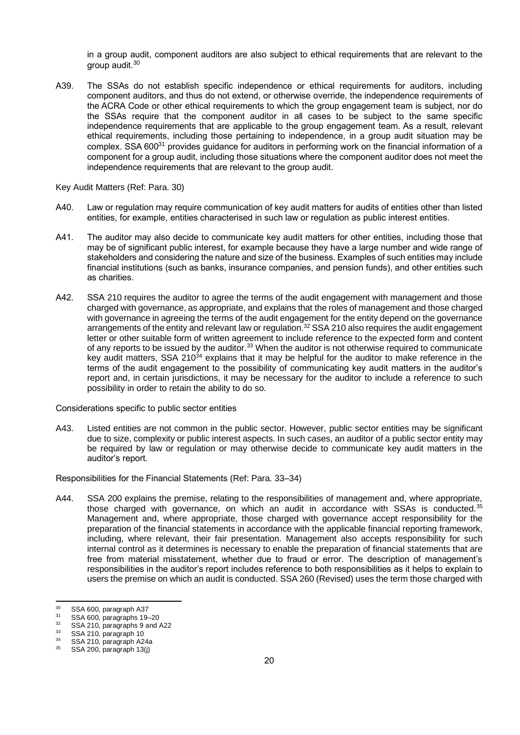in a group audit, component auditors are also subject to ethical requirements that are relevant to the  $q$ group audit. $30$ 

A39. The SSAs do not establish specific independence or ethical requirements for auditors, including component auditors, and thus do not extend, or otherwise override, the independence requirements of the ACRA Code or other ethical requirements to which the group engagement team is subject, nor do the SSAs require that the component auditor in all cases to be subject to the same specific independence requirements that are applicable to the group engagement team. As a result, relevant ethical requirements, including those pertaining to independence, in a group audit situation may be complex. SSA  $600^{31}$  provides guidance for auditors in performing work on the financial information of a component for a group audit, including those situations where the component auditor does not meet the independence requirements that are relevant to the group audit.

Key Audit Matters (Ref: Para. 30)

- A40. Law or regulation may require communication of key audit matters for audits of entities other than listed entities, for example, entities characterised in such law or regulation as public interest entities.
- A41. The auditor may also decide to communicate key audit matters for other entities, including those that may be of significant public interest, for example because they have a large number and wide range of stakeholders and considering the nature and size of the business. Examples of such entities may include financial institutions (such as banks, insurance companies, and pension funds), and other entities such as charities.
- A42. SSA 210 requires the auditor to agree the terms of the audit engagement with management and those charged with governance, as appropriate, and explains that the roles of management and those charged with governance in agreeing the terms of the audit engagement for the entity depend on the governance arrangements of the entity and relevant law or regulation.<sup>32</sup> SSA 210 also requires the audit engagement letter or other suitable form of written agreement to include reference to the expected form and content of any reports to be issued by the auditor.<sup>33</sup> When the auditor is not otherwise required to communicate key audit matters, SSA 210<sup>34</sup> explains that it may be helpful for the auditor to make reference in the terms of the audit engagement to the possibility of communicating key audit matters in the auditor's report and, in certain jurisdictions, it may be necessary for the auditor to include a reference to such possibility in order to retain the ability to do so.

Considerations specific to public sector entities

A43. Listed entities are not common in the public sector. However, public sector entities may be significant due to size, complexity or public interest aspects. In such cases, an auditor of a public sector entity may be required by law or regulation or may otherwise decide to communicate key audit matters in the auditor's report.

Responsibilities for the Financial Statements (Ref: Para. 33–34)

A44. SSA 200 explains the premise, relating to the responsibilities of management and, where appropriate, those charged with governance, on which an audit in accordance with SSAs is conducted.<sup>35</sup> Management and, where appropriate, those charged with governance accept responsibility for the preparation of the financial statements in accordance with the applicable financial reporting framework, including, where relevant, their fair presentation. Management also accepts responsibility for such internal control as it determines is necessary to enable the preparation of financial statements that are free from material misstatement, whether due to fraud or error. The description of management's responsibilities in the auditor's report includes reference to both responsibilities as it helps to explain to users the premise on which an audit is conducted. SSA 260 (Revised) uses the term those charged with

 $30$  SSA 600, paragraph A37<br> $31$  SSA 600, paragraphs 10

 $31$  SSA 600, paragraphs 19–20

 $32$  SSA 210, paragraphs 9 and A22

 $33$  SSA 210, paragraph 10<br> $34$  SSA 210, paragraph 02

 $34$  SSA 210, paragraph A24a

SSA 200, paragraph 13(j)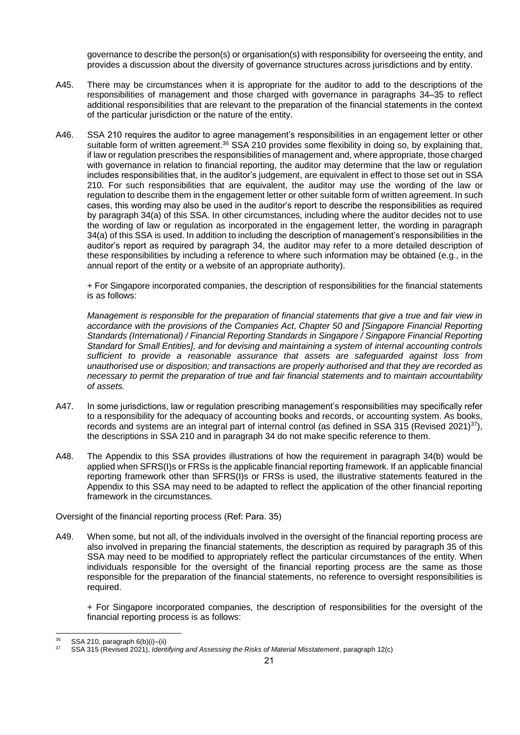governance to describe the person(s) or organisation(s) with responsibility for overseeing the entity, and provides a discussion about the diversity of governance structures across jurisdictions and by entity.

- A45. There may be circumstances when it is appropriate for the auditor to add to the descriptions of the responsibilities of management and those charged with governance in paragraphs 34–35 to reflect additional responsibilities that are relevant to the preparation of the financial statements in the context of the particular jurisdiction or the nature of the entity.
- A46. SSA 210 requires the auditor to agree management's responsibilities in an engagement letter or other suitable form of written agreement.<sup>36</sup> SSA 210 provides some flexibility in doing so, by explaining that, if law or regulation prescribes the responsibilities of management and, where appropriate, those charged with governance in relation to financial reporting, the auditor may determine that the law or regulation includes responsibilities that, in the auditor's judgement, are equivalent in effect to those set out in SSA 210. For such responsibilities that are equivalent, the auditor may use the wording of the law or regulation to describe them in the engagement letter or other suitable form of written agreement. In such cases, this wording may also be used in the auditor's report to describe the responsibilities as required by paragraph 34(a) of this SSA. In other circumstances, including where the auditor decides not to use the wording of law or regulation as incorporated in the engagement letter, the wording in paragraph 34(a) of this SSA is used. In addition to including the description of management's responsibilities in the auditor's report as required by paragraph 34, the auditor may refer to a more detailed description of these responsibilities by including a reference to where such information may be obtained (e.g., in the annual report of the entity or a website of an appropriate authority).

+ For Singapore incorporated companies, the description of responsibilities for the financial statements is as follows:

*Management is responsible for the preparation of financial statements that give a true and fair view in accordance with the provisions of the Companies Act, Chapter 50 and [Singapore Financial Reporting Standards (International) / Financial Reporting Standards in Singapore / Singapore Financial Reporting Standard for Small Entities], and for devising and maintaining a system of internal accounting controls sufficient to provide a reasonable assurance that assets are safeguarded against loss from unauthorised use or disposition; and transactions are properly authorised and that they are recorded as necessary to permit the preparation of true and fair financial statements and to maintain accountability of assets.*

- A47. In some jurisdictions, law or regulation prescribing management's responsibilities may specifically refer to a responsibility for the adequacy of accounting books and records, or accounting system. As books, records and systems are an integral part of internal control (as defined in SSA 315 (Revised 2021)<sup>37</sup>), the descriptions in SSA 210 and in paragraph 34 do not make specific reference to them.
- A48. The Appendix to this SSA provides illustrations of how the requirement in paragraph 34(b) would be applied when SFRS(I)s or FRSs is the applicable financial reporting framework. If an applicable financial reporting framework other than SFRS(I)s or FRSs is used, the illustrative statements featured in the Appendix to this SSA may need to be adapted to reflect the application of the other financial reporting framework in the circumstances.

Oversight of the financial reporting process (Ref: Para. 35)

A49. When some, but not all, of the individuals involved in the oversight of the financial reporting process are also involved in preparing the financial statements, the description as required by paragraph 35 of this SSA may need to be modified to appropriately reflect the particular circumstances of the entity. When individuals responsible for the oversight of the financial reporting process are the same as those responsible for the preparation of the financial statements, no reference to oversight responsibilities is required.

+ For Singapore incorporated companies, the description of responsibilities for the oversight of the financial reporting process is as follows:

 $^{36}$  SSA 210, paragraph 6(b)(i)–(ii)

<sup>37</sup> SSA 315 (Revised 2021), *Identifying and Assessing the Risks of Material Misstatement*, paragraph 12(c)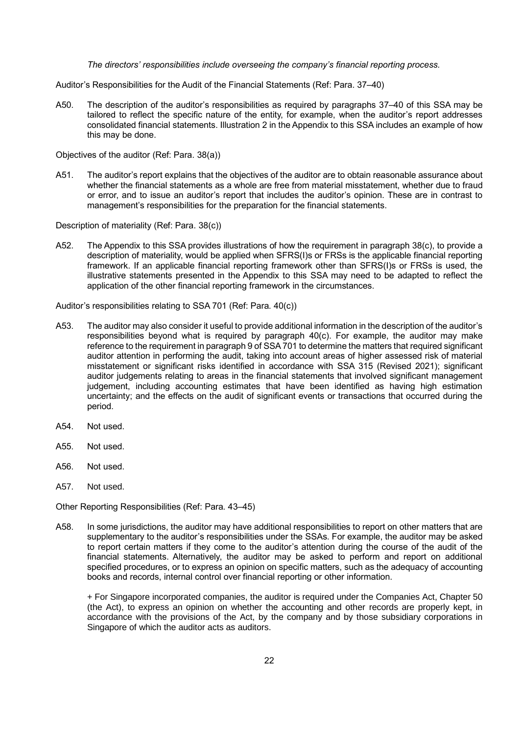*The directors' responsibilities include overseeing the company's financial reporting process.*

Auditor's Responsibilities for the Audit of the Financial Statements (Ref: Para. 37–40)

A50. The description of the auditor's responsibilities as required by paragraphs 37–40 of this SSA may be tailored to reflect the specific nature of the entity, for example, when the auditor's report addresses consolidated financial statements. Illustration 2 in the Appendix to this SSA includes an example of how this may be done.

Objectives of the auditor (Ref: Para. 38(a))

A51. The auditor's report explains that the objectives of the auditor are to obtain reasonable assurance about whether the financial statements as a whole are free from material misstatement, whether due to fraud or error, and to issue an auditor's report that includes the auditor's opinion. These are in contrast to management's responsibilities for the preparation for the financial statements.

Description of materiality (Ref: Para. 38(c))

A52. The Appendix to this SSA provides illustrations of how the requirement in paragraph 38(c), to provide a description of materiality, would be applied when SFRS(I)s or FRSs is the applicable financial reporting framework. If an applicable financial reporting framework other than SFRS(I)s or FRSs is used, the illustrative statements presented in the Appendix to this SSA may need to be adapted to reflect the application of the other financial reporting framework in the circumstances.

Auditor's responsibilities relating to SSA 701 (Ref: Para. 40(c))

- A53. The auditor may also consider it useful to provide additional information in the description of the auditor's responsibilities beyond what is required by paragraph 40(c). For example, the auditor may make reference to the requirement in paragraph 9 of SSA701 to determine the matters that required significant auditor attention in performing the audit, taking into account areas of higher assessed risk of material misstatement or significant risks identified in accordance with SSA 315 (Revised 2021); significant auditor judgements relating to areas in the financial statements that involved significant management judgement, including accounting estimates that have been identified as having high estimation uncertainty; and the effects on the audit of significant events or transactions that occurred during the period.
- A54. Not used.
- A55. Not used.
- A56. Not used.
- A57. Not used.

Other Reporting Responsibilities (Ref: Para. 43–45)

A58. In some jurisdictions, the auditor may have additional responsibilities to report on other matters that are supplementary to the auditor's responsibilities under the SSAs. For example, the auditor may be asked to report certain matters if they come to the auditor's attention during the course of the audit of the financial statements. Alternatively, the auditor may be asked to perform and report on additional specified procedures, or to express an opinion on specific matters, such as the adequacy of accounting books and records, internal control over financial reporting or other information.

+ For Singapore incorporated companies, the auditor is required under the Companies Act, Chapter 50 (the Act), to express an opinion on whether the accounting and other records are properly kept, in accordance with the provisions of the Act, by the company and by those subsidiary corporations in Singapore of which the auditor acts as auditors.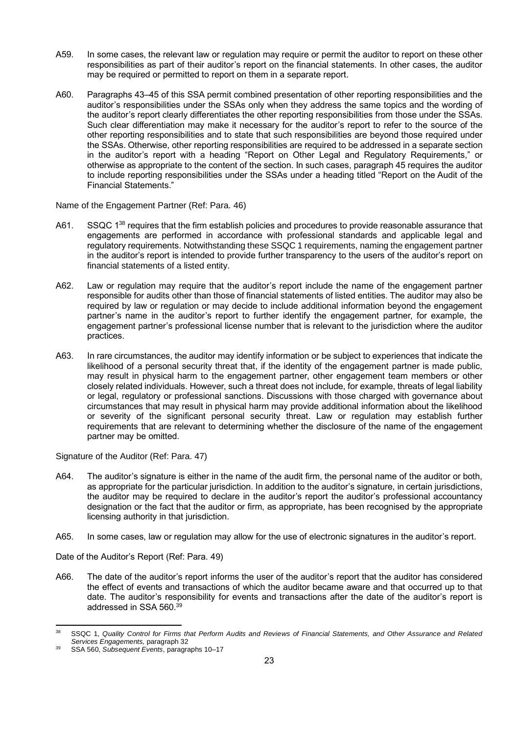- A59. In some cases, the relevant law or regulation may require or permit the auditor to report on these other responsibilities as part of their auditor's report on the financial statements. In other cases, the auditor may be required or permitted to report on them in a separate report.
- A60. Paragraphs 43–45 of this SSA permit combined presentation of other reporting responsibilities and the auditor's responsibilities under the SSAs only when they address the same topics and the wording of the auditor's report clearly differentiates the other reporting responsibilities from those under the SSAs. Such clear differentiation may make it necessary for the auditor's report to refer to the source of the other reporting responsibilities and to state that such responsibilities are beyond those required under the SSAs. Otherwise, other reporting responsibilities are required to be addressed in a separate section in the auditor's report with a heading "Report on Other Legal and Regulatory Requirements," or otherwise as appropriate to the content of the section. In such cases, paragraph 45 requires the auditor to include reporting responsibilities under the SSAs under a heading titled "Report on the Audit of the Financial Statements."

Name of the Engagement Partner (Ref: Para. 46)

- A61. SSQC 1<sup>38</sup> requires that the firm establish policies and procedures to provide reasonable assurance that engagements are performed in accordance with professional standards and applicable legal and regulatory requirements. Notwithstanding these SSQC 1 requirements, naming the engagement partner in the auditor's report is intended to provide further transparency to the users of the auditor's report on financial statements of a listed entity.
- A62. Law or regulation may require that the auditor's report include the name of the engagement partner responsible for audits other than those of financial statements of listed entities. The auditor may also be required by law or regulation or may decide to include additional information beyond the engagement partner's name in the auditor's report to further identify the engagement partner, for example, the engagement partner's professional license number that is relevant to the jurisdiction where the auditor practices.
- A63. In rare circumstances, the auditor may identify information or be subject to experiences that indicate the likelihood of a personal security threat that, if the identity of the engagement partner is made public, may result in physical harm to the engagement partner, other engagement team members or other closely related individuals. However, such a threat does not include, for example, threats of legal liability or legal, regulatory or professional sanctions. Discussions with those charged with governance about circumstances that may result in physical harm may provide additional information about the likelihood or severity of the significant personal security threat. Law or regulation may establish further requirements that are relevant to determining whether the disclosure of the name of the engagement partner may be omitted.

Signature of the Auditor (Ref: Para. 47)

- A64. The auditor's signature is either in the name of the audit firm, the personal name of the auditor or both, as appropriate for the particular jurisdiction. In addition to the auditor's signature, in certain jurisdictions, the auditor may be required to declare in the auditor's report the auditor's professional accountancy designation or the fact that the auditor or firm, as appropriate, has been recognised by the appropriate licensing authority in that jurisdiction.
- A65. In some cases, law or regulation may allow for the use of electronic signatures in the auditor's report.

Date of the Auditor's Report (Ref: Para. 49)

A66. The date of the auditor's report informs the user of the auditor's report that the auditor has considered the effect of events and transactions of which the auditor became aware and that occurred up to that date. The auditor's responsibility for events and transactions after the date of the auditor's report is addressed in SSA 560.<sup>39</sup>

<sup>38</sup> SSQC 1, *Quality Control for Firms that Perform Audits and Reviews of Financial Statements, and Other Assurance and Related Services Engagements,* paragraph 32

<sup>39</sup> SSA 560, *Subsequent Events*, paragraphs 10–17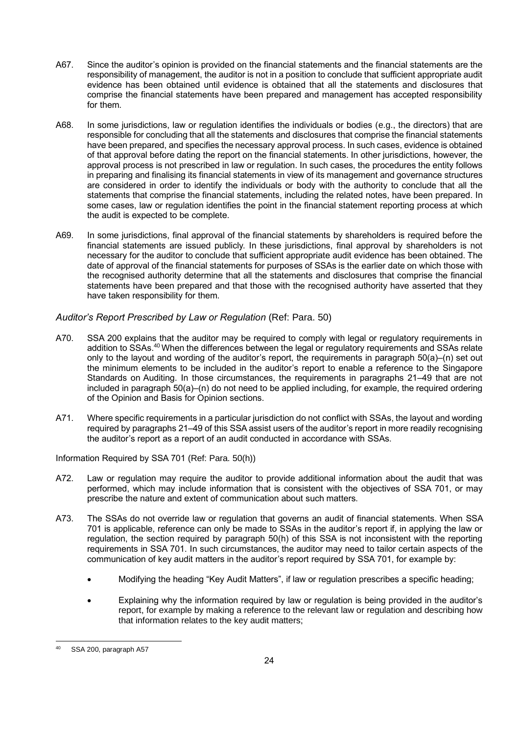- A67. Since the auditor's opinion is provided on the financial statements and the financial statements are the responsibility of management, the auditor is not in a position to conclude that sufficient appropriate audit evidence has been obtained until evidence is obtained that all the statements and disclosures that comprise the financial statements have been prepared and management has accepted responsibility for them.
- A68. In some jurisdictions, law or regulation identifies the individuals or bodies (e.g., the directors) that are responsible for concluding that all the statements and disclosures that comprise the financial statements have been prepared, and specifies the necessary approval process. In such cases, evidence is obtained of that approval before dating the report on the financial statements. In other jurisdictions, however, the approval process is not prescribed in law or regulation. In such cases, the procedures the entity follows in preparing and finalising its financial statements in view of its management and governance structures are considered in order to identify the individuals or body with the authority to conclude that all the statements that comprise the financial statements, including the related notes, have been prepared. In some cases, law or regulation identifies the point in the financial statement reporting process at which the audit is expected to be complete.
- A69. In some jurisdictions, final approval of the financial statements by shareholders is required before the financial statements are issued publicly. In these jurisdictions, final approval by shareholders is not necessary for the auditor to conclude that sufficient appropriate audit evidence has been obtained. The date of approval of the financial statements for purposes of SSAs is the earlier date on which those with the recognised authority determine that all the statements and disclosures that comprise the financial statements have been prepared and that those with the recognised authority have asserted that they have taken responsibility for them.

## *Auditor's Report Prescribed by Law or Regulation* (Ref: Para. 50)

- A70. SSA 200 explains that the auditor may be required to comply with legal or regulatory requirements in addition to SSAs.<sup>40</sup> When the differences between the legal or regulatory requirements and SSAs relate only to the layout and wording of the auditor's report, the requirements in paragraph 50(a)–(n) set out the minimum elements to be included in the auditor's report to enable a reference to the Singapore Standards on Auditing. In those circumstances, the requirements in paragraphs 21–49 that are not included in paragraph 50(a)–(n) do not need to be applied including, for example, the required ordering of the Opinion and Basis for Opinion sections.
- A71. Where specific requirements in a particular jurisdiction do not conflict with SSAs, the layout and wording required by paragraphs 21–49 of this SSA assist users of the auditor's report in more readily recognising the auditor's report as a report of an audit conducted in accordance with SSAs.

Information Required by SSA 701 (Ref: Para. 50(h))

- A72. Law or regulation may require the auditor to provide additional information about the audit that was performed, which may include information that is consistent with the objectives of SSA 701, or may prescribe the nature and extent of communication about such matters.
- A73. The SSAs do not override law or regulation that governs an audit of financial statements. When SSA 701 is applicable, reference can only be made to SSAs in the auditor's report if, in applying the law or regulation, the section required by paragraph 50(h) of this SSA is not inconsistent with the reporting requirements in SSA 701. In such circumstances, the auditor may need to tailor certain aspects of the communication of key audit matters in the auditor's report required by SSA 701, for example by:
	- Modifying the heading "Key Audit Matters", if law or regulation prescribes a specific heading;
	- Explaining why the information required by law or regulation is being provided in the auditor's report, for example by making a reference to the relevant law or regulation and describing how that information relates to the key audit matters;

<sup>40</sup> SSA 200, paragraph A57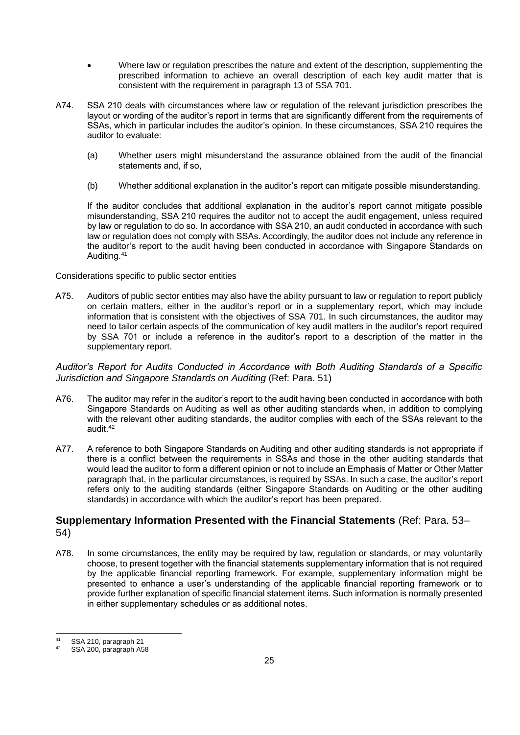- Where law or regulation prescribes the nature and extent of the description, supplementing the prescribed information to achieve an overall description of each key audit matter that is consistent with the requirement in paragraph 13 of SSA 701.
- A74. SSA 210 deals with circumstances where law or regulation of the relevant jurisdiction prescribes the layout or wording of the auditor's report in terms that are significantly different from the requirements of SSAs, which in particular includes the auditor's opinion. In these circumstances, SSA 210 requires the auditor to evaluate:
	- (a) Whether users might misunderstand the assurance obtained from the audit of the financial statements and, if so,
	- (b) Whether additional explanation in the auditor's report can mitigate possible misunderstanding.

If the auditor concludes that additional explanation in the auditor's report cannot mitigate possible misunderstanding, SSA 210 requires the auditor not to accept the audit engagement, unless required by law or regulation to do so. In accordance with SSA 210, an audit conducted in accordance with such law or regulation does not comply with SSAs. Accordingly, the auditor does not include any reference in the auditor's report to the audit having been conducted in accordance with Singapore Standards on Auditing.<sup>41</sup>

Considerations specific to public sector entities

A75. Auditors of public sector entities may also have the ability pursuant to law or regulation to report publicly on certain matters, either in the auditor's report or in a supplementary report, which may include information that is consistent with the objectives of SSA 701. In such circumstances, the auditor may need to tailor certain aspects of the communication of key audit matters in the auditor's report required by SSA 701 or include a reference in the auditor's report to a description of the matter in the supplementary report.

*Auditor's Report for Audits Conducted in Accordance with Both Auditing Standards of a Specific Jurisdiction and Singapore Standards on Auditing* (Ref: Para. 51)

- A76. The auditor may refer in the auditor's report to the audit having been conducted in accordance with both Singapore Standards on Auditing as well as other auditing standards when, in addition to complying with the relevant other auditing standards, the auditor complies with each of the SSAs relevant to the audit $42$
- A77. A reference to both Singapore Standards on Auditing and other auditing standards is not appropriate if there is a conflict between the requirements in SSAs and those in the other auditing standards that would lead the auditor to form a different opinion or not to include an Emphasis of Matter or Other Matter paragraph that, in the particular circumstances, is required by SSAs. In such a case, the auditor's report refers only to the auditing standards (either Singapore Standards on Auditing or the other auditing standards) in accordance with which the auditor's report has been prepared.

## **Supplementary Information Presented with the Financial Statements** (Ref: Para. 53– 54)

A78. In some circumstances, the entity may be required by law, regulation or standards, or may voluntarily choose, to present together with the financial statements supplementary information that is not required by the applicable financial reporting framework. For example, supplementary information might be presented to enhance a user's understanding of the applicable financial reporting framework or to provide further explanation of specific financial statement items. Such information is normally presented in either supplementary schedules or as additional notes.

 $^{41}$  SSA 210, paragraph 21

SSA 200, paragraph A58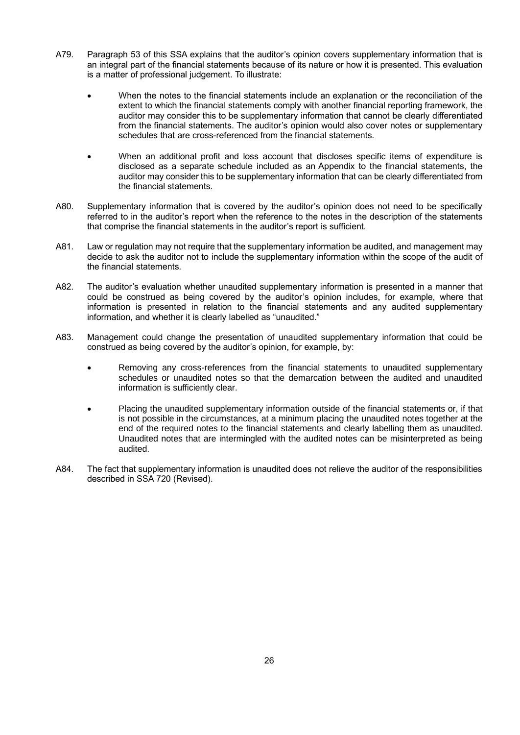- A79. Paragraph 53 of this SSA explains that the auditor's opinion covers supplementary information that is an integral part of the financial statements because of its nature or how it is presented. This evaluation is a matter of professional judgement. To illustrate:
	- When the notes to the financial statements include an explanation or the reconciliation of the extent to which the financial statements comply with another financial reporting framework, the auditor may consider this to be supplementary information that cannot be clearly differentiated from the financial statements. The auditor's opinion would also cover notes or supplementary schedules that are cross-referenced from the financial statements.
	- When an additional profit and loss account that discloses specific items of expenditure is disclosed as a separate schedule included as an Appendix to the financial statements, the auditor may consider this to be supplementary information that can be clearly differentiated from the financial statements.
- A80. Supplementary information that is covered by the auditor's opinion does not need to be specifically referred to in the auditor's report when the reference to the notes in the description of the statements that comprise the financial statements in the auditor's report is sufficient.
- A81. Law or regulation may not require that the supplementary information be audited, and management may decide to ask the auditor not to include the supplementary information within the scope of the audit of the financial statements.
- A82. The auditor's evaluation whether unaudited supplementary information is presented in a manner that could be construed as being covered by the auditor's opinion includes, for example, where that information is presented in relation to the financial statements and any audited supplementary information, and whether it is clearly labelled as "unaudited."
- A83. Management could change the presentation of unaudited supplementary information that could be construed as being covered by the auditor's opinion, for example, by:
	- Removing any cross-references from the financial statements to unaudited supplementary schedules or unaudited notes so that the demarcation between the audited and unaudited information is sufficiently clear.
	- Placing the unaudited supplementary information outside of the financial statements or, if that is not possible in the circumstances, at a minimum placing the unaudited notes together at the end of the required notes to the financial statements and clearly labelling them as unaudited. Unaudited notes that are intermingled with the audited notes can be misinterpreted as being audited.
- A84. The fact that supplementary information is unaudited does not relieve the auditor of the responsibilities described in SSA 720 (Revised).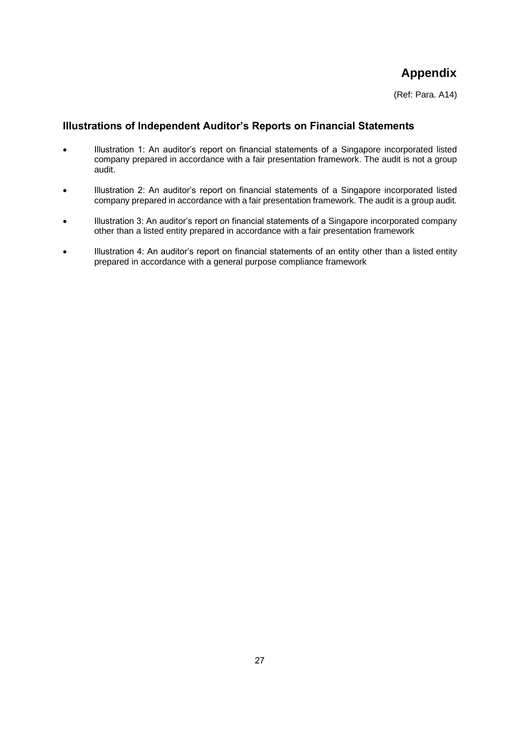## **Appendix**

(Ref: Para. A14)

## **Illustrations of Independent Auditor's Reports on Financial Statements**

- Illustration 1: An auditor's report on financial statements of a Singapore incorporated listed company prepared in accordance with a fair presentation framework. The audit is not a group audit.
- Illustration 2: An auditor's report on financial statements of a Singapore incorporated listed company prepared in accordance with a fair presentation framework. The audit is a group audit.
- Illustration 3: An auditor's report on financial statements of a Singapore incorporated company other than a listed entity prepared in accordance with a fair presentation framework
- Illustration 4: An auditor's report on financial statements of an entity other than a listed entity prepared in accordance with a general purpose compliance framework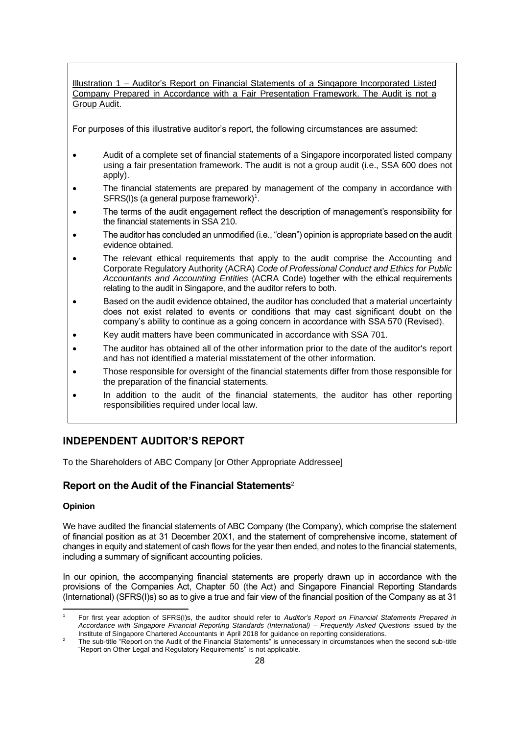Illustration 1 – Auditor's Report on Financial Statements of a Singapore Incorporated Listed Company Prepared in Accordance with a Fair Presentation Framework. The Audit is not a Group Audit.

For purposes of this illustrative auditor's report, the following circumstances are assumed:

- Audit of a complete set of financial statements of a Singapore incorporated listed company using a fair presentation framework. The audit is not a group audit (i.e., SSA 600 does not apply).
- The financial statements are prepared by management of the company in accordance with SFRS(I)s (a general purpose framework)<sup>1</sup>.
- The terms of the audit engagement reflect the description of management's responsibility for the financial statements in SSA 210.
- The auditor has concluded an unmodified (i.e., "clean") opinion is appropriate based on the audit evidence obtained.
- The relevant ethical requirements that apply to the audit comprise the Accounting and Corporate Regulatory Authority (ACRA) *Code of Professional Conduct and Ethics for Public Accountants and Accounting Entities* (ACRA Code) together with the ethical requirements relating to the audit in Singapore, and the auditor refers to both.
- Based on the audit evidence obtained, the auditor has concluded that a material uncertainty does not exist related to events or conditions that may cast significant doubt on the company's ability to continue as a going concern in accordance with SSA 570 (Revised).
- Key audit matters have been communicated in accordance with SSA 701.
- The auditor has obtained all of the other information prior to the date of the auditor's report and has not identified a material misstatement of the other information.
- Those responsible for oversight of the financial statements differ from those responsible for the preparation of the financial statements.
- In addition to the audit of the financial statements, the auditor has other reporting responsibilities required under local law.

## **INDEPENDENT AUDITOR'S REPORT**

To the Shareholders of ABC Company [or Other Appropriate Addressee]

## **Report on the Audit of the Financial Statements**<sup>2</sup>

#### **Opinion**

We have audited the financial statements of ABC Company (the Company), which comprise the statement of financial position as at 31 December 20X1, and the statement of comprehensive income, statement of changes in equity and statement of cash flows for the year then ended, and notes to the financial statements, including a summary of significant accounting policies.

In our opinion, the accompanying financial statements are properly drawn up in accordance with the provisions of the Companies Act, Chapter 50 (the Act) and Singapore Financial Reporting Standards (International) (SFRS(I)s) so as to give a true and fair view of the financial position of the Company as at 31

<sup>1</sup> For first year adoption of SFRS(I)s, the auditor should refer to *Auditor's Report on Financial Statements Prepared in Accordance with Singapore Financial Reporting Standards (International) – Frequently Asked Questions* issued by the Institute of Singapore Chartered Accountants in April 2018 for guidance on reporting considerations.

<sup>2</sup> The sub-title "Report on the Audit of the Financial Statements" is unnecessary in circumstances when the second sub-title "Report on Other Legal and Regulatory Requirements" is not applicable.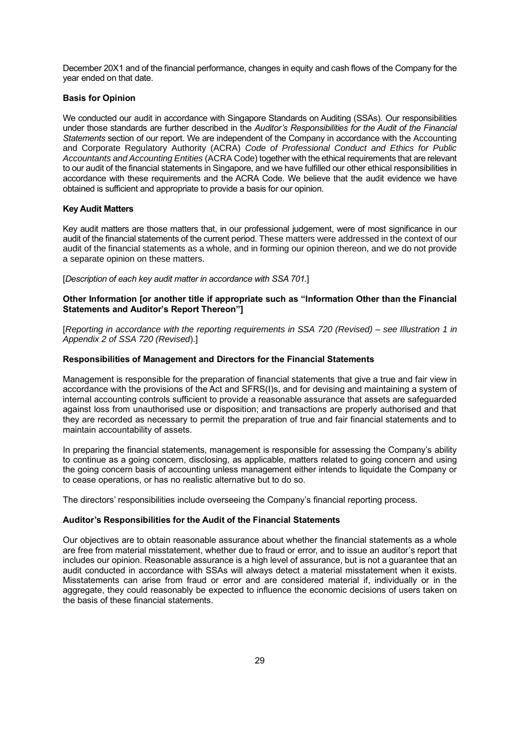December 20X1 and of the financial performance, changes in equity and cash flows of the Company for the year ended on that date.

#### **Basis for Opinion**

We conducted our audit in accordance with Singapore Standards on Auditing (SSAs). Our responsibilities under those standards are further described in the *Auditor's Responsibilities for the Audit of the Financial Statements* section of our report. We are independent of the Company in accordance with the Accounting and Corporate Regulatory Authority (ACRA) *Code of Professional Conduct and Ethics for Public Accountants and Accounting Entities* (ACRA Code) together with the ethical requirements that are relevant to our audit of the financial statements in Singapore, and we have fulfilled our other ethical responsibilities in accordance with these requirements and the ACRA Code. We believe that the audit evidence we have obtained is sufficient and appropriate to provide a basis for our opinion.

#### **Key Audit Matters**

Key audit matters are those matters that, in our professional judgement, were of most significance in our audit of the financial statements of the current period. These matters were addressed in the context of our audit of the financial statements as a whole, and in forming our opinion thereon, and we do not provide a separate opinion on these matters.

[*Description of each key audit matter in accordance with SSA 701.*]

#### **Other Information [or another title if appropriate such as "Information Other than the Financial Statements and Auditor's Report Thereon"]**

[*Reporting in accordance with the reporting requirements in SSA 720 (Revised) – see Illustration 1 in Appendix 2 of SSA 720 (Revised*).]

#### **Responsibilities of Management and Directors for the Financial Statements**

Management is responsible for the preparation of financial statements that give a true and fair view in accordance with the provisions of the Act and SFRS(I)s, and for devising and maintaining a system of internal accounting controls sufficient to provide a reasonable assurance that assets are safeguarded against loss from unauthorised use or disposition; and transactions are properly authorised and that they are recorded as necessary to permit the preparation of true and fair financial statements and to maintain accountability of assets.

In preparing the financial statements, management is responsible for assessing the Company's ability to continue as a going concern, disclosing, as applicable, matters related to going concern and using the going concern basis of accounting unless management either intends to liquidate the Company or to cease operations, or has no realistic alternative but to do so.

The directors' responsibilities include overseeing the Company's financial reporting process.

#### **Auditor's Responsibilities for the Audit of the Financial Statements**

Our objectives are to obtain reasonable assurance about whether the financial statements as a whole are free from material misstatement, whether due to fraud or error, and to issue an auditor's report that includes our opinion. Reasonable assurance is a high level of assurance, but is not a guarantee that an audit conducted in accordance with SSAs will always detect a material misstatement when it exists. Misstatements can arise from fraud or error and are considered material if, individually or in the aggregate, they could reasonably be expected to influence the economic decisions of users taken on the basis of these financial statements.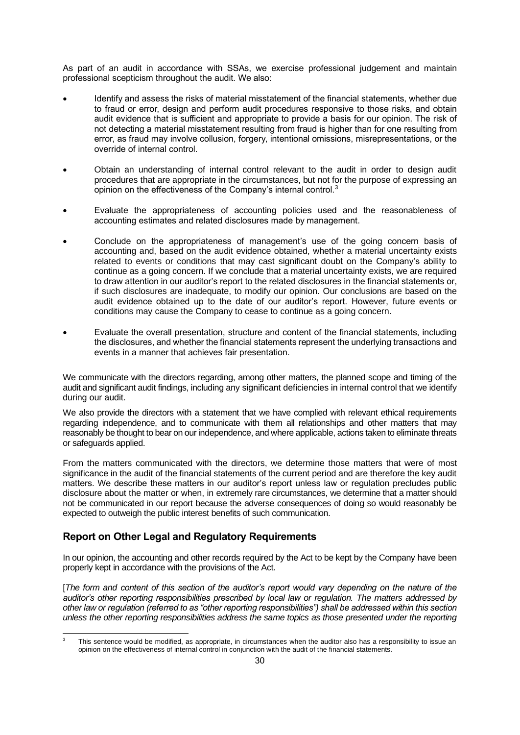As part of an audit in accordance with SSAs, we exercise professional judgement and maintain professional scepticism throughout the audit. We also:

- Identify and assess the risks of material misstatement of the financial statements, whether due to fraud or error, design and perform audit procedures responsive to those risks, and obtain audit evidence that is sufficient and appropriate to provide a basis for our opinion. The risk of not detecting a material misstatement resulting from fraud is higher than for one resulting from error, as fraud may involve collusion, forgery, intentional omissions, misrepresentations, or the override of internal control.
- Obtain an understanding of internal control relevant to the audit in order to design audit procedures that are appropriate in the circumstances, but not for the purpose of expressing an opinion on the effectiveness of the Company's internal control.<sup>3</sup>
- Evaluate the appropriateness of accounting policies used and the reasonableness of accounting estimates and related disclosures made by management.
- Conclude on the appropriateness of management's use of the going concern basis of accounting and, based on the audit evidence obtained, whether a material uncertainty exists related to events or conditions that may cast significant doubt on the Company's ability to continue as a going concern. If we conclude that a material uncertainty exists, we are required to draw attention in our auditor's report to the related disclosures in the financial statements or, if such disclosures are inadequate, to modify our opinion. Our conclusions are based on the audit evidence obtained up to the date of our auditor's report. However, future events or conditions may cause the Company to cease to continue as a going concern.
- Evaluate the overall presentation, structure and content of the financial statements, including the disclosures, and whether the financial statements represent the underlying transactions and events in a manner that achieves fair presentation.

We communicate with the directors regarding, among other matters, the planned scope and timing of the audit and significant audit findings, including any significant deficiencies in internal control that we identify during our audit.

We also provide the directors with a statement that we have complied with relevant ethical requirements regarding independence, and to communicate with them all relationships and other matters that may reasonably be thought to bear on our independence, and where applicable, actions taken to eliminate threats or safeguards applied.

From the matters communicated with the directors, we determine those matters that were of most significance in the audit of the financial statements of the current period and are therefore the key audit matters. We describe these matters in our auditor's report unless law or regulation precludes public disclosure about the matter or when, in extremely rare circumstances, we determine that a matter should not be communicated in our report because the adverse consequences of doing so would reasonably be expected to outweigh the public interest benefits of such communication.

## **Report on Other Legal and Regulatory Requirements**

In our opinion, the accounting and other records required by the Act to be kept by the Company have been properly kept in accordance with the provisions of the Act.

[*The form and content of this section of the auditor's report would vary depending on the nature of the auditor's other reporting responsibilities prescribed by local law or regulation. The matters addressed by other law or regulation (referred to as "other reporting responsibilities") shall be addressed within this section unless the other reporting responsibilities address the same topics as those presented under the reporting* 

This sentence would be modified, as appropriate, in circumstances when the auditor also has a responsibility to issue an opinion on the effectiveness of internal control in conjunction with the audit of the financial statements.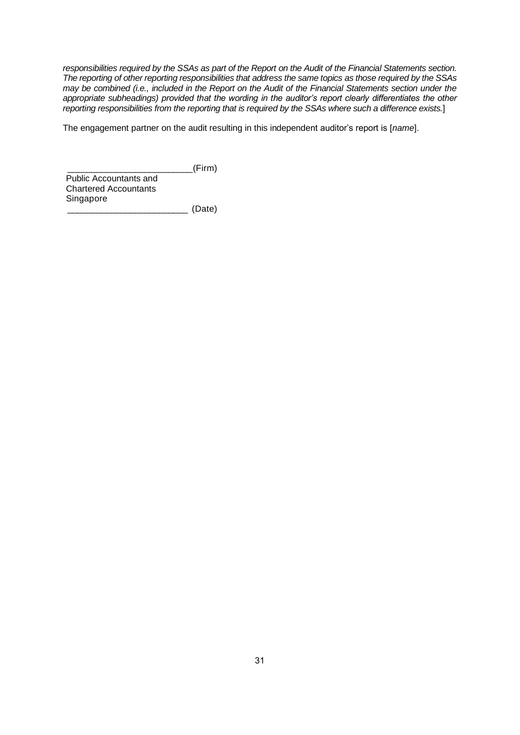*responsibilities required by the SSAs as part of the Report on the Audit of the Financial Statements section. The reporting of other reporting responsibilities that address the same topics as those required by the SSAs may be combined (i.e., included in the Report on the Audit of the Financial Statements section under the appropriate subheadings) provided that the wording in the auditor's report clearly differentiates the other reporting responsibilities from the reporting that is required by the SSAs where such a difference exists.*]

The engagement partner on the audit resulting in this independent auditor's report is [*name*].

 $(Firm)$ Public Accountants and Chartered Accountants Singapore \_\_\_\_\_\_\_\_\_\_\_\_\_\_\_\_\_\_\_\_\_\_\_\_\_ (Date)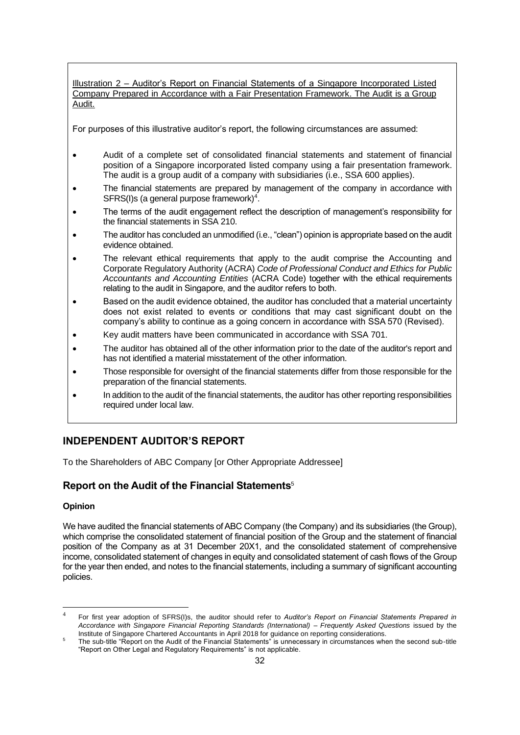Illustration 2 – Auditor's Report on Financial Statements of a Singapore Incorporated Listed Company Prepared in Accordance with a Fair Presentation Framework. The Audit is a Group Audit.

For purposes of this illustrative auditor's report, the following circumstances are assumed:

- Audit of a complete set of consolidated financial statements and statement of financial position of a Singapore incorporated listed company using a fair presentation framework. The audit is a group audit of a company with subsidiaries (i.e., SSA 600 applies).
- The financial statements are prepared by management of the company in accordance with SFRS(I)s (a general purpose framework)<sup>4</sup>.
- The terms of the audit engagement reflect the description of management's responsibility for the financial statements in SSA 210.
- The auditor has concluded an unmodified (i.e., "clean") opinion is appropriate based on the audit evidence obtained.
- The relevant ethical requirements that apply to the audit comprise the Accounting and Corporate Regulatory Authority (ACRA) *Code of Professional Conduct and Ethics for Public Accountants and Accounting Entities* (ACRA Code) together with the ethical requirements relating to the audit in Singapore, and the auditor refers to both.
- Based on the audit evidence obtained, the auditor has concluded that a material uncertainty does not exist related to events or conditions that may cast significant doubt on the company's ability to continue as a going concern in accordance with SSA 570 (Revised).
- Key audit matters have been communicated in accordance with SSA 701.
- The auditor has obtained all of the other information prior to the date of the auditor's report and has not identified a material misstatement of the other information.
- Those responsible for oversight of the financial statements differ from those responsible for the preparation of the financial statements.
- In addition to the audit of the financial statements, the auditor has other reporting responsibilities required under local law.

## **INDEPENDENT AUDITOR'S REPORT**

To the Shareholders of ABC Company [or Other Appropriate Addressee]

## **Report on the Audit of the Financial Statements**<sup>5</sup>

#### **Opinion**

We have audited the financial statements of ABC Company (the Company) and its subsidiaries (the Group), which comprise the consolidated statement of financial position of the Group and the statement of financial position of the Company as at 31 December 20X1, and the consolidated statement of comprehensive income, consolidated statement of changes in equity and consolidated statement of cash flows of the Group for the year then ended, and notes to the financial statements, including a summary of significant accounting policies.

<sup>4</sup> For first year adoption of SFRS(I)s, the auditor should refer to *Auditor's Report on Financial Statements Prepared in Accordance with Singapore Financial Reporting Standards (International) – Frequently Asked Questions* issued by the Institute of Singapore Chartered Accountants in April 2018 for guidance on reporting considerations.

<sup>5</sup> The sub-title "Report on the Audit of the Financial Statements" is unnecessary in circumstances when the second sub-title "Report on Other Legal and Regulatory Requirements" is not applicable.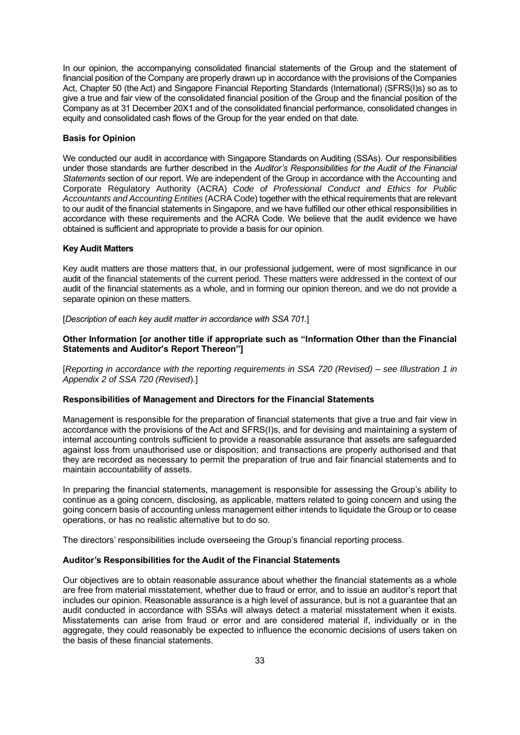In our opinion, the accompanying consolidated financial statements of the Group and the statement of financial position of the Company are properly drawn up in accordance with the provisions of the Companies Act, Chapter 50 (the Act) and Singapore Financial Reporting Standards (International) (SFRS(I)s) so as to give a true and fair view of the consolidated financial position of the Group and the financial position of the Company as at 31 December 20X1 and of the consolidated financial performance, consolidated changes in equity and consolidated cash flows of the Group for the year ended on that date.

#### **Basis for Opinion**

We conducted our audit in accordance with Singapore Standards on Auditing (SSAs). Our responsibilities under those standards are further described in the *Auditor's Responsibilities for the Audit of the Financial Statements* section of our report. We are independent of the Group in accordance with the Accounting and Corporate Regulatory Authority (ACRA) *Code of Professional Conduct and Ethics for Public Accountants and Accounting Entities* (ACRA Code) together with the ethical requirements that are relevant to our audit of the financial statements in Singapore, and we have fulfilled our other ethical responsibilities in accordance with these requirements and the ACRA Code. We believe that the audit evidence we have obtained is sufficient and appropriate to provide a basis for our opinion.

#### **Key Audit Matters**

Key audit matters are those matters that, in our professional judgement, were of most significance in our audit of the financial statements of the current period. These matters were addressed in the context of our audit of the financial statements as a whole, and in forming our opinion thereon, and we do not provide a separate opinion on these matters.

[*Description of each key audit matter in accordance with SSA 701.*]

#### **Other Information [or another title if appropriate such as "Information Other than the Financial Statements and Auditor's Report Thereon"]**

[*Reporting in accordance with the reporting requirements in SSA 720 (Revised) – see Illustration 1 in Appendix 2 of SSA 720 (Revised*).]

#### **Responsibilities of Management and Directors for the Financial Statements**

Management is responsible for the preparation of financial statements that give a true and fair view in accordance with the provisions of the Act and SFRS(I)s, and for devising and maintaining a system of internal accounting controls sufficient to provide a reasonable assurance that assets are safeguarded against loss from unauthorised use or disposition; and transactions are properly authorised and that they are recorded as necessary to permit the preparation of true and fair financial statements and to maintain accountability of assets.

In preparing the financial statements, management is responsible for assessing the Group's ability to continue as a going concern, disclosing, as applicable, matters related to going concern and using the going concern basis of accounting unless management either intends to liquidate the Group or to cease operations, or has no realistic alternative but to do so.

The directors' responsibilities include overseeing the Group's financial reporting process.

#### **Auditor's Responsibilities for the Audit of the Financial Statements**

Our objectives are to obtain reasonable assurance about whether the financial statements as a whole are free from material misstatement, whether due to fraud or error, and to issue an auditor's report that includes our opinion. Reasonable assurance is a high level of assurance, but is not a guarantee that an audit conducted in accordance with SSAs will always detect a material misstatement when it exists. Misstatements can arise from fraud or error and are considered material if, individually or in the aggregate, they could reasonably be expected to influence the economic decisions of users taken on the basis of these financial statements.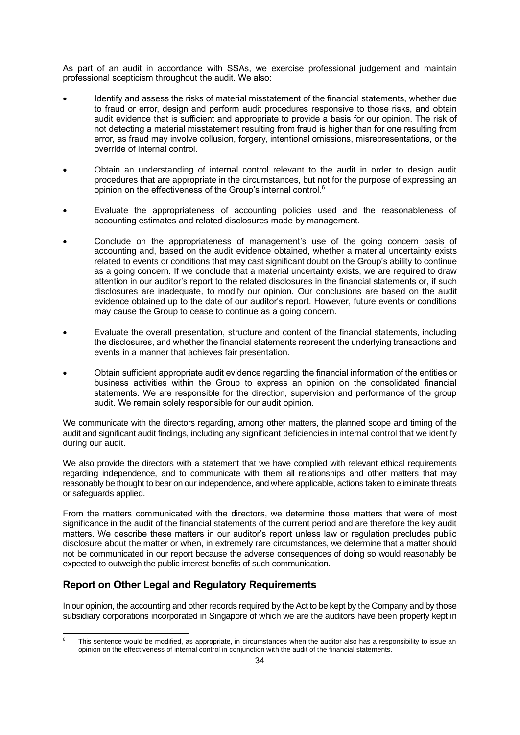As part of an audit in accordance with SSAs, we exercise professional judgement and maintain professional scepticism throughout the audit. We also:

- Identify and assess the risks of material misstatement of the financial statements, whether due to fraud or error, design and perform audit procedures responsive to those risks, and obtain audit evidence that is sufficient and appropriate to provide a basis for our opinion. The risk of not detecting a material misstatement resulting from fraud is higher than for one resulting from error, as fraud may involve collusion, forgery, intentional omissions, misrepresentations, or the override of internal control.
- Obtain an understanding of internal control relevant to the audit in order to design audit procedures that are appropriate in the circumstances, but not for the purpose of expressing an opinion on the effectiveness of the Group's internal control.<sup>6</sup>
- Evaluate the appropriateness of accounting policies used and the reasonableness of accounting estimates and related disclosures made by management.
- Conclude on the appropriateness of management's use of the going concern basis of accounting and, based on the audit evidence obtained, whether a material uncertainty exists related to events or conditions that may cast significant doubt on the Group's ability to continue as a going concern. If we conclude that a material uncertainty exists, we are required to draw attention in our auditor's report to the related disclosures in the financial statements or, if such disclosures are inadequate, to modify our opinion. Our conclusions are based on the audit evidence obtained up to the date of our auditor's report. However, future events or conditions may cause the Group to cease to continue as a going concern.
- Evaluate the overall presentation, structure and content of the financial statements, including the disclosures, and whether the financial statements represent the underlying transactions and events in a manner that achieves fair presentation.
- Obtain sufficient appropriate audit evidence regarding the financial information of the entities or business activities within the Group to express an opinion on the consolidated financial statements. We are responsible for the direction, supervision and performance of the group audit. We remain solely responsible for our audit opinion.

We communicate with the directors regarding, among other matters, the planned scope and timing of the audit and significant audit findings, including any significant deficiencies in internal control that we identify during our audit.

We also provide the directors with a statement that we have complied with relevant ethical requirements regarding independence, and to communicate with them all relationships and other matters that may reasonably be thought to bear on our independence, and where applicable, actions taken to eliminate threats or safeguards applied.

From the matters communicated with the directors, we determine those matters that were of most significance in the audit of the financial statements of the current period and are therefore the key audit matters. We describe these matters in our auditor's report unless law or regulation precludes public disclosure about the matter or when, in extremely rare circumstances, we determine that a matter should not be communicated in our report because the adverse consequences of doing so would reasonably be expected to outweigh the public interest benefits of such communication.

## **Report on Other Legal and Regulatory Requirements**

In our opinion, the accounting and other records required by the Act to be kept by the Company and by those subsidiary corporations incorporated in Singapore of which we are the auditors have been properly kept in

This sentence would be modified, as appropriate, in circumstances when the auditor also has a responsibility to issue an opinion on the effectiveness of internal control in conjunction with the audit of the financial statements.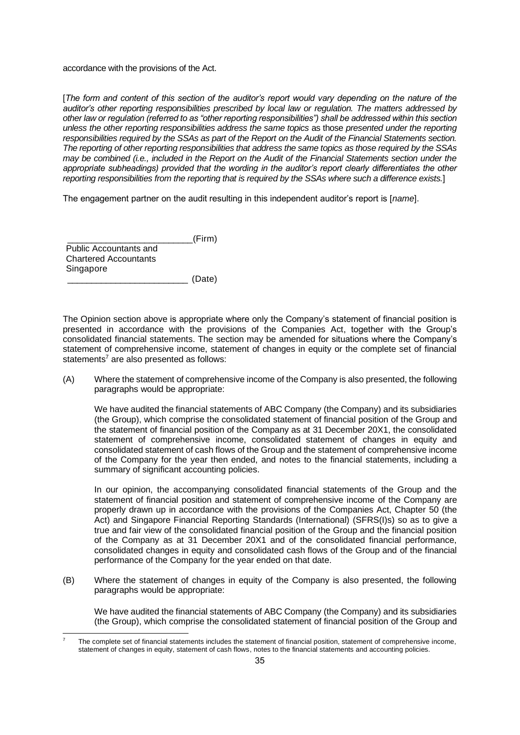accordance with the provisions of the Act.

[*The form and content of this section of the auditor's report would vary depending on the nature of the auditor's other reporting responsibilities prescribed by local law or regulation. The matters addressed by other law or regulation (referred to as "other reporting responsibilities") shall be addressed within this section unless the other reporting responsibilities address the same topics* as those *presented under the reporting responsibilities required by the SSAs as part of the Report on the Audit of the Financial Statements section. The reporting of other reporting responsibilities that address the same topics as those required by the SSAs may be combined (i.e., included in the Report on the Audit of the Financial Statements section under the appropriate subheadings) provided that the wording in the auditor's report clearly differentiates the other reporting responsibilities from the reporting that is required by the SSAs where such a difference exists.*]

The engagement partner on the audit resulting in this independent auditor's report is [*name*].

 $(Firm)$ Public Accountants and Chartered Accountants **Singapore** 

\_\_\_\_\_\_\_\_\_\_\_\_\_\_\_\_\_\_\_\_\_\_\_\_\_ (Date)

The Opinion section above is appropriate where only the Company's statement of financial position is presented in accordance with the provisions of the Companies Act, together with the Group's consolidated financial statements. The section may be amended for situations where the Company's statement of comprehensive income, statement of changes in equity or the complete set of financial statements<sup> $7$ </sup> are also presented as follows:

(A) Where the statement of comprehensive income of the Company is also presented, the following paragraphs would be appropriate:

We have audited the financial statements of ABC Company (the Company) and its subsidiaries (the Group), which comprise the consolidated statement of financial position of the Group and the statement of financial position of the Company as at 31 December 20X1, the consolidated statement of comprehensive income, consolidated statement of changes in equity and consolidated statement of cash flows of the Group and the statement of comprehensive income of the Company for the year then ended, and notes to the financial statements, including a summary of significant accounting policies.

In our opinion, the accompanying consolidated financial statements of the Group and the statement of financial position and statement of comprehensive income of the Company are properly drawn up in accordance with the provisions of the Companies Act, Chapter 50 (the Act) and Singapore Financial Reporting Standards (International) (SFRS(I)s) so as to give a true and fair view of the consolidated financial position of the Group and the financial position of the Company as at 31 December 20X1 and of the consolidated financial performance, consolidated changes in equity and consolidated cash flows of the Group and of the financial performance of the Company for the year ended on that date.

(B) Where the statement of changes in equity of the Company is also presented, the following paragraphs would be appropriate:

We have audited the financial statements of ABC Company (the Company) and its subsidiaries (the Group), which comprise the consolidated statement of financial position of the Group and

The complete set of financial statements includes the statement of financial position, statement of comprehensive income, statement of changes in equity, statement of cash flows, notes to the financial statements and accounting policies.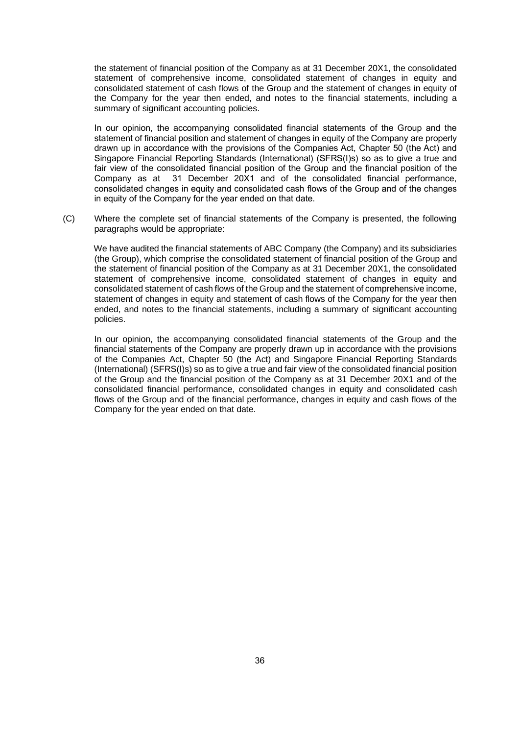the statement of financial position of the Company as at 31 December 20X1, the consolidated statement of comprehensive income, consolidated statement of changes in equity and consolidated statement of cash flows of the Group and the statement of changes in equity of the Company for the year then ended, and notes to the financial statements, including a summary of significant accounting policies.

In our opinion, the accompanying consolidated financial statements of the Group and the statement of financial position and statement of changes in equity of the Company are properly drawn up in accordance with the provisions of the Companies Act, Chapter 50 (the Act) and Singapore Financial Reporting Standards (International) (SFRS(I)s) so as to give a true and fair view of the consolidated financial position of the Group and the financial position of the Company as at 31 December 20X1 and of the consolidated financial performance, consolidated changes in equity and consolidated cash flows of the Group and of the changes in equity of the Company for the year ended on that date.

(C) Where the complete set of financial statements of the Company is presented, the following paragraphs would be appropriate:

We have audited the financial statements of ABC Company (the Company) and its subsidiaries (the Group), which comprise the consolidated statement of financial position of the Group and the statement of financial position of the Company as at 31 December 20X1, the consolidated statement of comprehensive income, consolidated statement of changes in equity and consolidated statement of cash flows of the Group and the statement of comprehensive income, statement of changes in equity and statement of cash flows of the Company for the year then ended, and notes to the financial statements, including a summary of significant accounting policies.

In our opinion, the accompanying consolidated financial statements of the Group and the financial statements of the Company are properly drawn up in accordance with the provisions of the Companies Act, Chapter 50 (the Act) and Singapore Financial Reporting Standards (International) (SFRS(I)s) so as to give a true and fair view of the consolidated financial position of the Group and the financial position of the Company as at 31 December 20X1 and of the consolidated financial performance, consolidated changes in equity and consolidated cash flows of the Group and of the financial performance, changes in equity and cash flows of the Company for the year ended on that date.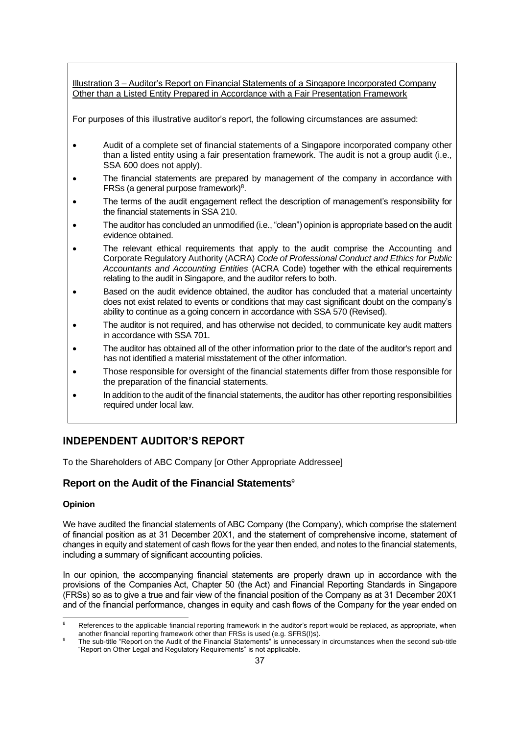Illustration 3 – Auditor's Report on Financial Statements of a Singapore Incorporated Company Other than a Listed Entity Prepared in Accordance with a Fair Presentation Framework

For purposes of this illustrative auditor's report, the following circumstances are assumed:

- Audit of a complete set of financial statements of a Singapore incorporated company other than a listed entity using a fair presentation framework. The audit is not a group audit (i.e., SSA 600 does not apply).
- The financial statements are prepared by management of the company in accordance with FRSs (a general purpose framework) $8$ .
- The terms of the audit engagement reflect the description of management's responsibility for the financial statements in SSA 210.
- The auditor has concluded an unmodified (i.e., "clean") opinion is appropriate based on the audit evidence obtained.
- The relevant ethical requirements that apply to the audit comprise the Accounting and Corporate Regulatory Authority (ACRA) *Code of Professional Conduct and Ethics for Public Accountants and Accounting Entities* (ACRA Code) together with the ethical requirements relating to the audit in Singapore, and the auditor refers to both.
- Based on the audit evidence obtained, the auditor has concluded that a material uncertainty does not exist related to events or conditions that may cast significant doubt on the company's ability to continue as a going concern in accordance with SSA 570 (Revised).
- The auditor is not required, and has otherwise not decided, to communicate key audit matters in accordance with SSA 701.
- The auditor has obtained all of the other information prior to the date of the auditor's report and has not identified a material misstatement of the other information.
- Those responsible for oversight of the financial statements differ from those responsible for the preparation of the financial statements.
- In addition to the audit of the financial statements, the auditor has other reporting responsibilities required under local law.

## **INDEPENDENT AUDITOR'S REPORT**

To the Shareholders of ABC Company [or Other Appropriate Addressee]

## **Report on the Audit of the Financial Statements**<sup>9</sup>

## **Opinion**

We have audited the financial statements of ABC Company (the Company), which comprise the statement of financial position as at 31 December 20X1, and the statement of comprehensive income, statement of changes in equity and statement of cash flows for the year then ended, and notes to the financial statements, including a summary of significant accounting policies.

In our opinion, the accompanying financial statements are properly drawn up in accordance with the provisions of the Companies Act, Chapter 50 (the Act) and Financial Reporting Standards in Singapore (FRSs) so as to give a true and fair view of the financial position of the Company as at 31 December 20X1 and of the financial performance, changes in equity and cash flows of the Company for the year ended on

References to the applicable financial reporting framework in the auditor's report would be replaced, as appropriate, when another financial reporting framework other than FRSs is used (e.g. SFRS(I)s).

The sub-title "Report on the Audit of the Financial Statements" is unnecessary in circumstances when the second sub-title "Report on Other Legal and Regulatory Requirements" is not applicable.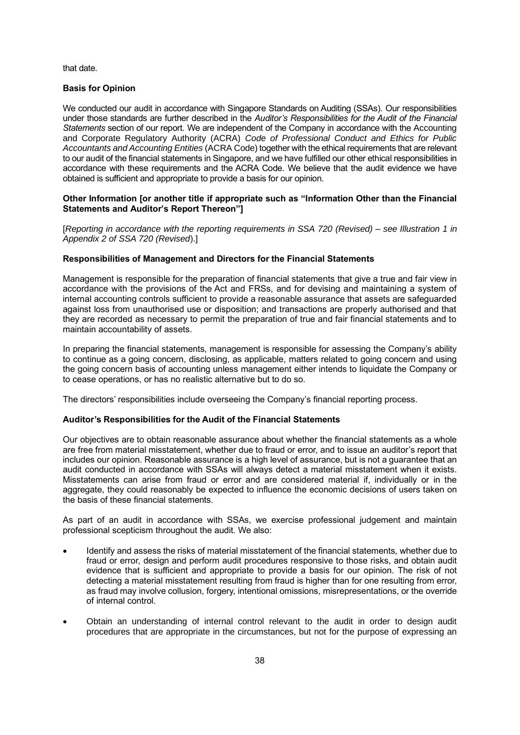that date.

#### **Basis for Opinion**

We conducted our audit in accordance with Singapore Standards on Auditing (SSAs). Our responsibilities under those standards are further described in the *Auditor's Responsibilities for the Audit of the Financial Statements* section of our report. We are independent of the Company in accordance with the Accounting and Corporate Regulatory Authority (ACRA) *Code of Professional Conduct and Ethics for Public Accountants and Accounting Entities* (ACRA Code) together with the ethical requirements that are relevant to our audit of the financial statements in Singapore, and we have fulfilled our other ethical responsibilities in accordance with these requirements and the ACRA Code. We believe that the audit evidence we have obtained is sufficient and appropriate to provide a basis for our opinion.

#### **Other Information [or another title if appropriate such as "Information Other than the Financial Statements and Auditor's Report Thereon"]**

[*Reporting in accordance with the reporting requirements in SSA 720 (Revised) – see Illustration 1 in Appendix 2 of SSA 720 (Revised*).]

#### **Responsibilities of Management and Directors for the Financial Statements**

Management is responsible for the preparation of financial statements that give a true and fair view in accordance with the provisions of the Act and FRSs, and for devising and maintaining a system of internal accounting controls sufficient to provide a reasonable assurance that assets are safeguarded against loss from unauthorised use or disposition; and transactions are properly authorised and that they are recorded as necessary to permit the preparation of true and fair financial statements and to maintain accountability of assets.

In preparing the financial statements, management is responsible for assessing the Company's ability to continue as a going concern, disclosing, as applicable, matters related to going concern and using the going concern basis of accounting unless management either intends to liquidate the Company or to cease operations, or has no realistic alternative but to do so.

The directors' responsibilities include overseeing the Company's financial reporting process.

#### **Auditor's Responsibilities for the Audit of the Financial Statements**

Our objectives are to obtain reasonable assurance about whether the financial statements as a whole are free from material misstatement, whether due to fraud or error, and to issue an auditor's report that includes our opinion. Reasonable assurance is a high level of assurance, but is not a guarantee that an audit conducted in accordance with SSAs will always detect a material misstatement when it exists. Misstatements can arise from fraud or error and are considered material if, individually or in the aggregate, they could reasonably be expected to influence the economic decisions of users taken on the basis of these financial statements.

As part of an audit in accordance with SSAs, we exercise professional judgement and maintain professional scepticism throughout the audit. We also:

- Identify and assess the risks of material misstatement of the financial statements, whether due to fraud or error, design and perform audit procedures responsive to those risks, and obtain audit evidence that is sufficient and appropriate to provide a basis for our opinion. The risk of not detecting a material misstatement resulting from fraud is higher than for one resulting from error, as fraud may involve collusion, forgery, intentional omissions, misrepresentations, or the override of internal control.
- Obtain an understanding of internal control relevant to the audit in order to design audit procedures that are appropriate in the circumstances, but not for the purpose of expressing an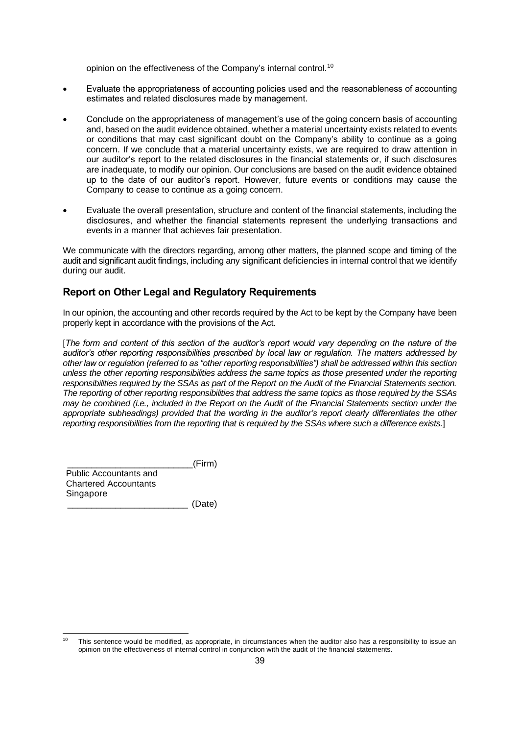opinion on the effectiveness of the Company's internal control.<sup>10</sup>

- Evaluate the appropriateness of accounting policies used and the reasonableness of accounting estimates and related disclosures made by management.
- Conclude on the appropriateness of management's use of the going concern basis of accounting and, based on the audit evidence obtained, whether a material uncertainty exists related to events or conditions that may cast significant doubt on the Company's ability to continue as a going concern. If we conclude that a material uncertainty exists, we are required to draw attention in our auditor's report to the related disclosures in the financial statements or, if such disclosures are inadequate, to modify our opinion. Our conclusions are based on the audit evidence obtained up to the date of our auditor's report. However, future events or conditions may cause the Company to cease to continue as a going concern.
- Evaluate the overall presentation, structure and content of the financial statements, including the disclosures, and whether the financial statements represent the underlying transactions and events in a manner that achieves fair presentation.

We communicate with the directors regarding, among other matters, the planned scope and timing of the audit and significant audit findings, including any significant deficiencies in internal control that we identify during our audit.

## **Report on Other Legal and Regulatory Requirements**

In our opinion, the accounting and other records required by the Act to be kept by the Company have been properly kept in accordance with the provisions of the Act.

[*The form and content of this section of the auditor's report would vary depending on the nature of the auditor's other reporting responsibilities prescribed by local law or regulation. The matters addressed by other law or regulation (referred to as "other reporting responsibilities") shall be addressed within this section unless the other reporting responsibilities address the same topics as those presented under the reporting responsibilities required by the SSAs as part of the Report on the Audit of the Financial Statements section. The reporting of other reporting responsibilities that address the same topics as those required by the SSAs may be combined (i.e., included in the Report on the Audit of the Financial Statements section under the appropriate subheadings) provided that the wording in the auditor's report clearly differentiates the other reporting responsibilities from the reporting that is required by the SSAs where such a difference exists.*]

|                               | (Firm) |
|-------------------------------|--------|
| <b>Public Accountants and</b> |        |
| <b>Chartered Accountants</b>  |        |
| Singapore                     |        |
|                               | (Date) |

This sentence would be modified, as appropriate, in circumstances when the auditor also has a responsibility to issue an opinion on the effectiveness of internal control in conjunction with the audit of the financial statements.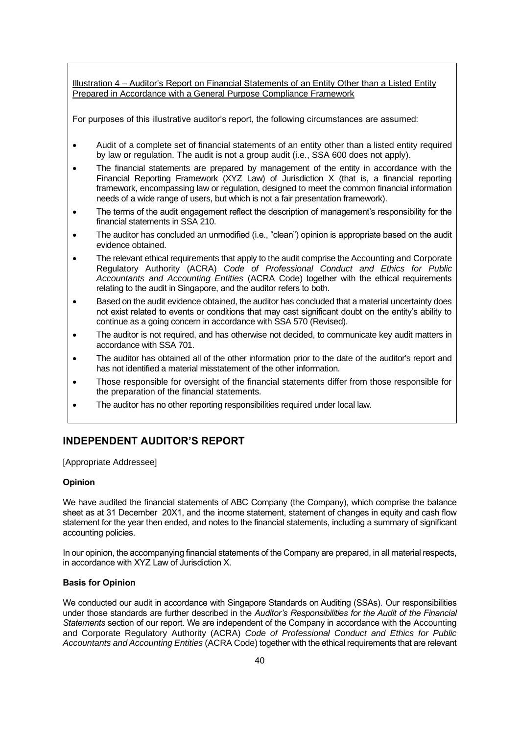#### Illustration 4 – Auditor's Report on Financial Statements of an Entity Other than a Listed Entity Prepared in Accordance with a General Purpose Compliance Framework

For purposes of this illustrative auditor's report, the following circumstances are assumed:

- Audit of a complete set of financial statements of an entity other than a listed entity required by law or regulation. The audit is not a group audit (i.e., SSA 600 does not apply).
- The financial statements are prepared by management of the entity in accordance with the Financial Reporting Framework (XYZ Law) of Jurisdiction X (that is, a financial reporting framework, encompassing law or regulation, designed to meet the common financial information needs of a wide range of users, but which is not a fair presentation framework).
- The terms of the audit engagement reflect the description of management's responsibility for the financial statements in SSA 210.
- The auditor has concluded an unmodified (i.e., "clean") opinion is appropriate based on the audit evidence obtained.
- The relevant ethical requirements that apply to the audit comprise the Accounting and Corporate Regulatory Authority (ACRA) *Code of Professional Conduct and Ethics for Public Accountants and Accounting Entities* (ACRA Code) together with the ethical requirements relating to the audit in Singapore, and the auditor refers to both.
- Based on the audit evidence obtained, the auditor has concluded that a material uncertainty does not exist related to events or conditions that may cast significant doubt on the entity's ability to continue as a going concern in accordance with SSA 570 (Revised).
- The auditor is not required, and has otherwise not decided, to communicate key audit matters in accordance with SSA 701.
- The auditor has obtained all of the other information prior to the date of the auditor's report and has not identified a material misstatement of the other information.
- Those responsible for oversight of the financial statements differ from those responsible for the preparation of the financial statements.
- The auditor has no other reporting responsibilities required under local law.

## **INDEPENDENT AUDITOR'S REPORT**

[Appropriate Addressee]

#### **Opinion**

We have audited the financial statements of ABC Company (the Company), which comprise the balance sheet as at 31 December 20X1, and the income statement, statement of changes in equity and cash flow statement for the year then ended, and notes to the financial statements, including a summary of significant accounting policies.

In our opinion, the accompanying financial statements of the Company are prepared, in all material respects, in accordance with XYZ Law of Jurisdiction X.

#### **Basis for Opinion**

We conducted our audit in accordance with Singapore Standards on Auditing (SSAs). Our responsibilities under those standards are further described in the *Auditor's Responsibilities for the Audit of the Financial Statements* section of our report. We are independent of the Company in accordance with the Accounting and Corporate Regulatory Authority (ACRA) *Code of Professional Conduct and Ethics for Public Accountants and Accounting Entities* (ACRA Code) together with the ethical requirements that are relevant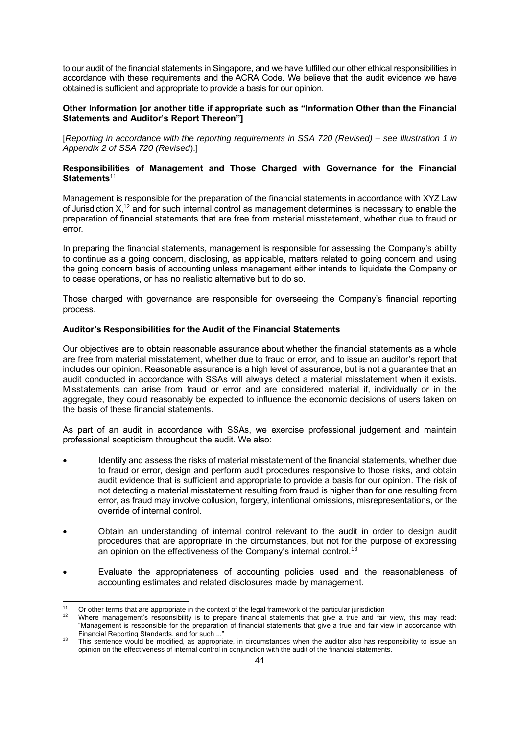to our audit of the financial statements in Singapore, and we have fulfilled our other ethical responsibilities in accordance with these requirements and the ACRA Code. We believe that the audit evidence we have obtained is sufficient and appropriate to provide a basis for our opinion.

#### **Other Information [or another title if appropriate such as "Information Other than the Financial Statements and Auditor's Report Thereon"]**

[*Reporting in accordance with the reporting requirements in SSA 720 (Revised) – see Illustration 1 in Appendix 2 of SSA 720 (Revised*).]

### **Responsibilities of Management and Those Charged with Governance for the Financial Statements**<sup>11</sup>

Management is responsible for the preparation of the financial statements in accordance with XYZ Law of Jurisdiction  $X<sub>12</sub>$  and for such internal control as management determines is necessary to enable the preparation of financial statements that are free from material misstatement, whether due to fraud or error.

In preparing the financial statements, management is responsible for assessing the Company's ability to continue as a going concern, disclosing, as applicable, matters related to going concern and using the going concern basis of accounting unless management either intends to liquidate the Company or to cease operations, or has no realistic alternative but to do so.

Those charged with governance are responsible for overseeing the Company's financial reporting process.

### **Auditor's Responsibilities for the Audit of the Financial Statements**

Our objectives are to obtain reasonable assurance about whether the financial statements as a whole are free from material misstatement, whether due to fraud or error, and to issue an auditor's report that includes our opinion. Reasonable assurance is a high level of assurance, but is not a guarantee that an audit conducted in accordance with SSAs will always detect a material misstatement when it exists. Misstatements can arise from fraud or error and are considered material if, individually or in the aggregate, they could reasonably be expected to influence the economic decisions of users taken on the basis of these financial statements.

As part of an audit in accordance with SSAs, we exercise professional judgement and maintain professional scepticism throughout the audit. We also:

- Identify and assess the risks of material misstatement of the financial statements, whether due to fraud or error, design and perform audit procedures responsive to those risks, and obtain audit evidence that is sufficient and appropriate to provide a basis for our opinion. The risk of not detecting a material misstatement resulting from fraud is higher than for one resulting from error, as fraud may involve collusion, forgery, intentional omissions, misrepresentations, or the override of internal control.
- Obtain an understanding of internal control relevant to the audit in order to design audit procedures that are appropriate in the circumstances, but not for the purpose of expressing an opinion on the effectiveness of the Company's internal control.<sup>13</sup>
- Evaluate the appropriateness of accounting policies used and the reasonableness of accounting estimates and related disclosures made by management.

<sup>&</sup>lt;sup>11</sup> Or other terms that are appropriate in the context of the legal framework of the particular jurisdiction  $\frac{12}{12}$ . Where proporting the particular jurisdiction

Where management's responsibility is to prepare financial statements that give a true and fair view, this may read: "Management is responsible for the preparation of financial statements that give a true and fair view in accordance with Financial Reporting Standards, and for such ..."

This sentence would be modified, as appropriate, in circumstances when the auditor also has responsibility to issue an opinion on the effectiveness of internal control in conjunction with the audit of the financial statements.